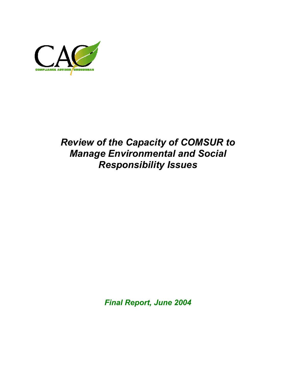

## *Review of the Capacity of COMSUR to Manage Environmental and Social Responsibility Issues*

*Final Report, June 2004*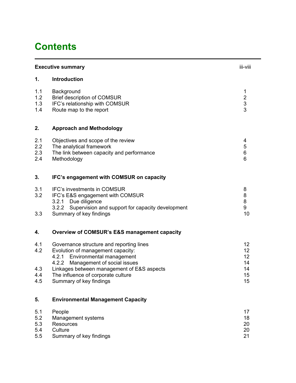## **Contents**

|                                 | iii-viii<br><b>Executive summary</b>                                                                                                                          |                                                 |  |
|---------------------------------|---------------------------------------------------------------------------------------------------------------------------------------------------------------|-------------------------------------------------|--|
| 1.                              | Introduction                                                                                                                                                  |                                                 |  |
| 1.1<br>1.2<br>1.3<br>1.4        | Background<br><b>Brief description of COMSUR</b><br>IFC's relationship with COMSUR<br>Route map to the report                                                 | 1<br>$\begin{array}{c} 2 \\ 3 \\ 3 \end{array}$ |  |
| 2.                              | <b>Approach and Methodology</b>                                                                                                                               |                                                 |  |
| 2.1<br>2.2<br>2.3<br>2.4        | Objectives and scope of the review<br>The analytical framework<br>The link between capacity and performance<br>Methodology                                    | 4<br>5<br>6<br>6                                |  |
| 3.                              | IFC's engagement with COMSUR on capacity                                                                                                                      |                                                 |  |
| 3.1<br>3.2                      | <b>IFC's investments in COMSUR</b><br>IFC's E&S engagement with COMSUR<br>Due diligence<br>3.2.1<br>3.2.2<br>Supervision and support for capacity development | 8<br>8<br>8<br>9                                |  |
| 3.3                             | Summary of key findings                                                                                                                                       | 10                                              |  |
| 4.                              | Overview of COMSUR's E&S management capacity                                                                                                                  |                                                 |  |
| 4.1<br>4.2                      | Governance structure and reporting lines<br>Evolution of management capacity:<br>Environmental management<br>4.2.1<br>4.2.2<br>Management of social issues    | 12 <sub>2</sub><br>12 <sub>2</sub><br>12<br>14  |  |
| 4.3<br>4.4<br>4.5               | Linkages between management of E&S aspects<br>The influence of corporate culture<br>Summary of key findings                                                   | 14<br>15<br>15                                  |  |
| 5.                              | <b>Environmental Management Capacity</b>                                                                                                                      |                                                 |  |
| 5.1<br>5.2<br>5.3<br>5.4<br>5.5 | People<br>Management systems<br><b>Resources</b><br>Culture<br>Summary of key findings                                                                        | 17<br>18<br>20<br>20<br>21                      |  |
|                                 |                                                                                                                                                               |                                                 |  |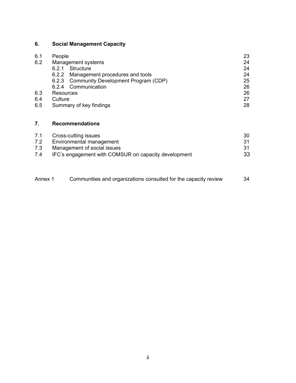## **6. Social Management Capacity**

| 6.1 | People                                    | 23 |  |  |
|-----|-------------------------------------------|----|--|--|
| 6.2 | Management systems                        | 24 |  |  |
|     | Structure<br>6.2.1                        | 24 |  |  |
|     | 6.2.2 Management procedures and tools     | 24 |  |  |
|     | 6.2.3 Community Development Program (CDP) | 25 |  |  |
|     | Communication<br>6.2.4                    | 26 |  |  |
| 6.3 | Resources                                 |    |  |  |
| 6.4 | Culture                                   |    |  |  |
| 6.5 | Summary of key findings<br>28             |    |  |  |

## **7. Recommendations**

| 7.1 | Cross-cutting issues                                 | 30  |
|-----|------------------------------------------------------|-----|
| 7.2 | Environmental management                             |     |
| 7.3 | Management of social issues                          | .31 |
| 7.4 | IFC's engagement with COMSUR on capacity development | 33  |

| Annex 1 | Communities and organizations consulted for the capacity review | 34 |
|---------|-----------------------------------------------------------------|----|
|         |                                                                 |    |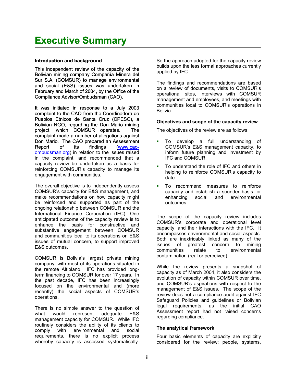#### **Introduction and background**

This independent review of the capacity of the Bolivian mining company Compañía Minera del Sur S.A. (COMSUR) to manage environmental and social (E&S) issues was undertaken in February and March of 2004, by the Office of the Compliance Advisor/Ombudsman (CAO).

It was initiated in response to a July 2003 complaint to the CAO from the Coordinadora de Pueblos Etnicos de Santa Cruz (CPESC), a Bolivian NGO, regarding the Don Mario mining project, which COMSUR operates. The complaint made a number of allegations against Don Mario. The CAO prepared an Assessment Report of its findings [\(www.cao](http://www.cao-ombudsman.org/)[ombudsman.org](http://www.cao-ombudsman.org/)) in relation to the issues raised in the complaint, and recommended that a capacity review be undertaken as a basis for reinforcing COMSUR's capacity to manage its engagement with communities.

The overall objective is to independently assess COMSUR's capacity for E&S management, and make recommendations on how capacity might be reinforced and supported as part of the ongoing relationship between COMSUR and the International Finance Corporation (IFC). One anticipated outcome of the capacity review is to enhance the basis for constructive and substantive engagement between COMSUR and communities local to its operations on E&S issues of mutual concern, to support improved E&S outcomes.

COMSUR is Bolivia's largest private mining company, with most of its operations situated in the remote Altiplano. IFC has provided longterm financing to COMSUR for over 17 years. In the past decade, IFC has been increasingly focused on the environmental and (more recently) the social aspects of COMSUR's operations.

There is no simple answer to the question of what would represent adequate E&S management capacity for COMSUR. While IFC routinely considers the ability of its clients to comply with environmental and social requirements, there is no explicit process whereby capacity is assessed systematically.

So the approach adopted for the capacity review builds upon the less formal approaches currently applied by IFC.

The findings and recommendations are based on a review of documents, visits to COMSUR's operational sites, interviews with COMSUR management and employees, and meetings with communities local to COMSUR's operations in Bolivia.

#### **Objectives and scope of the capacity review**

The objectives of the review are as follows:

- To develop a full understanding of COMSUR's E&S management capacity, to inform future planning and investment by IFC and COMSUR.  $\blacksquare$
- a, To understand the role of IFC and others in helping to reinforce COMSUR's capacity to date.
- a. To recommend measures to reinforce capacity and establish a sounder basis for enhancing social and environmental outcomes.

The scope of the capacity review includes COMSUR's corporate and operational level capacity, and their interactions with the IFC. It encompasses environmental and social aspects. Both are inextricably linked as many of the issues of greatest concern to mining communities relate to environmental contamination (real or perceived).

While the review presents a snapshot of capacity as of March 2004, it also considers the evolution of capacity within COMSUR over time, and COMSUR's aspirations with respect to the management of E&S issues. The scope of the review does not a compliance audit against IFC Safeguard Policies and guidelines or Bolivian legal requirements, as the initial CAO Assessment report had not raised concerns regarding compliance.

#### **The analytical framework**

Four basic elements of capacity are explicitly considered for the review: people, systems,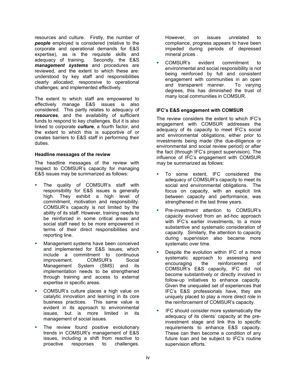resources and culture. Firstly, the number of *people* employed is considered (relative to the corporate and operational demands for E&S expertise), as is the requisite skills and adequacy of training. Secondly, the E&S *management systems* and procedures are reviewed, and the extent to which these are: understood by key staff and responsibilities clearly allocated; responsive to operational challenges; and implemented effectively.

The extent to which staff are empowered to effectively manage E&S issues is also considered. This partly relates to adequacy of *resources*, and the availability of sufficient funds to respond to key challenges. But it is also linked to corporate *culture*, a fourth factor, and the extent to which this is supportive of or creates barriers to E&S staff in performing their duties.

#### **Headline messages of the review**

The headline messages of the review with respect to COMSUR's capacity for managing E&S issues may be summarized as follows:

- a, The quality of COMSUR's staff with responsibility for E&S issues is generally high. They exhibit a high level of commitment, motivation and responsibility. COMSUR's capacity is not limited by the ability of its staff. However, training needs to be reinforced in some critical areas and social staff need to be more empowered in terms of their direct responsibilities and reporting line.
- $\mathbf{r}$ Management systems have been conceived and implemented for E&S issues, which include a commitment to continuous improvement. COMSUR's Social Management System (SMS) and its implementation needs to be strengthened through training and access to external expertise in specific areas.
- a, COMSUR's culture places a high value on catalytic innovation and learning in its core business practices. This same value is evident in its approach to environmental issues, but is more limited in its management of social issues.
- a, The review found positive evolutionary trends in COMSUR's management of E&S issues, including a shift from reactive to proactive responses to challenges.

However, on issues unrelated to compliance, progress appears to have been impeded during periods of depressed mineral prices .

 $\mathbf{r}$ COMSUR's evident commitment to environmental and social responsibility is not being reinforced by full and consistent engagement with communities in an open and transparent manner. To varying degrees, this has diminished the trust of many local communities in COMSUR.

#### **IFC's E&S engagement with COMSUR**

The review considers the extent to which IFC's engagement with COMSUR addresses the adequacy of its capacity to meet IFC's social and environmental obligations, either prior to investments being made (the due-diligence or environmental and social review period) or after the fact (through IFC's project supervision). The influence of IFC's engagement with COMSUR may be summarized as follows:

- a, To some extent, IFC considered the adequacy of COMSUR's capacity to meet its social and environmental obligations. The focus on capacity, with an explicit link between capacity and performance, was strengthened in the last three years.
- a, Pre-investment attention to COMSUR's capacity evolved from an ad-hoc approach with IFC's earlier investments, to a more substantive and systematic consideration of capacity. Similarly, the attention to capacity during supervision also became more systematic over time.
- $\mathbf{r}$ Despite the evolution within IFC of a more systematic approach to assessing and<br>encouraging the reinforcement of the reinforcement of COMSUR's E&S capacity, IFC did not become substantively or directly involved in follow-up initiatives to enhance capacity. Given the unequaled set of experiences that IFC's E&S professionals have, they are uniquely placed to play a more direct role in the reinforcement of COMSUR's capacity.
- ı IFC should consider more systematically the adequacy of its clients' capacity at the preinvestment stage and link this to specific requirements to enhance E&S capacity. These can then become a condition of any future loan and be subject to IFC's routine supervision efforts.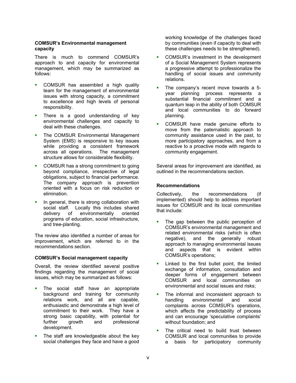#### **COMSUR's Environmental management capacity**

There is much to commend COMSUR's approach to and capacity for environmental management, which may be summarized as follows:

- a i COMSUR has assembled a high quality team for the management of environmental issues with strong capacity, a commitment to excellence and high levels of personal responsibility.
- $\mathbf{u}$ There is a good understanding of key environmental challenges and capacity to deal with these challenges.
- $\blacksquare$ The COMSUR Environmental Management System (EMS) is responsive to key issues while providing a consistent framework across all operations. The management structure allows for considerable flexibility.
- a, COMSUR has a strong commitment to going beyond compliance, irrespective of legal obligations, subject to financial performance. The company approach is prevention oriented with a focus on risk reduction or elimination.
- a, In general, there is strong collaboration with social staff. Locally this includes shared delivery of environmentally oriented programs of education, social infrastructure, and tree-planting.

The review also identified a number of areas for improvement, which are referred to in the recommendations section.

#### **COMSUR's Social management capacity**

Overall, the review identified several positive findings regarding the management of social issues, which may be summarized as follows:

- $\blacksquare$ The social staff have an appropriate background and training for community relations work, and all are capable, enthusiastic and demonstrate a high level of commitment to their work. They have a strong basic capability, with potential for further growth and professional development.
- a i The staff are knowledgeable about the key social challenges they face and have a good

working knowledge of the challenges faced by communities (even if capacity to deal with these challenges needs to be strengthened).

- a. COMSUR's investment in the development of a Social Management System represents a progressive attempt to professionalize the handling of social issues and community relations.
- a i The company's recent move towards a 5 year planning process represents a substantial financial commitment and a quantum leap in the ability of both COMSUR and local communities to do forward planning.
- a. COMSUR have made genuine efforts to move from the paternalistic approach to community assistance used in the past, to more participatory approaches, and from a reactive to a proactive mode with regards to community engagement.

Several areas for improvement are identified, as outlined in the recommendations section.

#### **Recommendations**

Collectively, the recommendations (if implemented) should help to address important issues for COMSUR and its local communities that include:

- a, The gap between the public perception of COMSUR's environmental management and related environmental risks (which is often negative), and the generally robust approach to managing environmental issues and aspects that is evident within COMSUR's operations;
- $\blacksquare$ Linked to the first bullet point, the limited exchange of information, consultation and deeper forms of engagement between COMSUR and local communities on environmental and social issues and risks;
- ×. The informal and inconsistent approach to handling environmental and social complaints across COMSUR's operations, which affects the predictability of process and can encourage 'speculative complaints' without foundation; and
- ×. The critical need to build trust between COMSUR and local communities to provide a basis for participatory community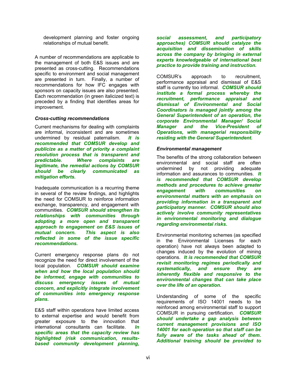development planning and foster ongoing relationships of mutual benefit.

A number of recommendations are applicable to the management of both E&S issues and are presented as cross-cutting. Recommendations specific to environment and social management are presented in turn. Finally, a number of recommendations for how IFC engages with sponsors on capacity issues are also presented. Each recommendation (in green italicized text) is preceded by a finding that identifies areas for improvement.

#### *Cross-cutting recommendations*

Current mechanisms for dealing with complaints are informal, inconsistent and are sometimes undermined by residual paternalism. *It is recommended that COMSUR develop and publicize as a matter of priority a complaint resolution process that is transparent and predictable. Where complaints are legitimate, the remedial actions by COMSUR should be clearly communicated as mitigation efforts.*

Inadequate communication is a recurring theme in several of the review findings, and highlights the need for COMSUR to reinforce information exchange, transparency, and engagement with communities. *COMSUR should strengthen its relationships with communities through adopting a more open and transparent approach to engagement on E&S issues of mutual concern. This aspect is also reflected in some of the issue specific recommendations.*

Current emergency response plans do not recognize the need for direct involvement of the local population. *COMSUR should examine when and how the local population should be informed, engage with communities to discuss emergency issues of mutual concern, and explicitly integrate involvement of communities into emergency response plans.*

E&S staff within operations have limited access to external expertise and would benefit from greater exposure to the innovation that international consultants can facilitate. *In specific areas that the capacity review has highlighted (risk communication, resultsbased community development planning,* 

*social assessment, and participatory approaches) COMSUR should catalyze the acquisition and dissemination of skills across the company by bringing in external experts knowledgeable of international best practice to provide training and instruction.*

COMSUR's approach to recruitment, performance appraisal and dismissal of E&S staff is currently too informal.*COMSUR should institute a formal process whereby the recruitment, performance appraisal and dismissal of Environmental and Social Coordinators is managed jointly among the General Superintendent of an operation, the corporate Environmental Manager/ Social Manager and the Vice-President of Operations, with managerial responsibility residing with the General Superintendent.*

#### *Environmental management*

The benefits of the strong collaboration between environmental and social staff are often undermined by not providing adequate information and assurances to communities. *It is recommended that COMSUR develop methods and procedures to achieve greater engagement with communities on environmental matters with an emphasis on providing information in a transparent and participatory manner. COMSUR should also actively involve community representatives in environmental monitoring and dialogue regarding environmental risks.*

Environmental monitoring schemes (as specified in the Environmental Licenses for each operation) have not always been adapted to changes induced by the evolution of mining operations. *It is recommended that COMSUR revisit monitoring regimes periodically and systematically, and ensure they are inherently flexible and responsive to the environmental changes that can take place over the life of an operation.*

Understanding of some of the specific requirements of ISO 14001 needs to be reinforced among environmental staff to support COMSUR in pursuing certification. *COMSUR should undertake a gap analysis between current management provisions and ISO 14001 for each operation so that staff can be fully aware of the tasks ahead of them. Additional training should be provided to*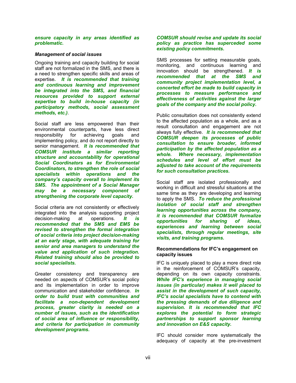#### *ensure capacity in any areas identified as problematic.*

#### *Management of social issues*

Ongoing training and capacity building for social staff are not formalized in the SMS, and there is a need to strengthen specific skills and areas of expertise*. It is recommended that training and continuous learning and improvement be integrated into the SMS, and financial resources provided to support external expertise to build in-house capacity (in participatory methods, social assessment methods, etc.)*. Public consultation does not consistently extend

Social staff are less empowered than their environmental counterparts, have less direct responsibility for achieving goals and implementing policy, and do not report directly to senior management. *It is recommended that COMSUR institute a similar reporting structure and accountability for operational Social Coordinators as for Environmental Coordinators, to strengthen the role of social specialists within operations and the company's capacity overall to implement its SMS. The appointment of a Social Manager may be a necessary component of strengthening the corporate level capacity.*

Social criteria are not consistently or effectively integrated into the analysis supporting project decision-making at operations. *It is recommended that the SMS and EMS be revised to strengthen the formal integration of social criteria into project decision-making at an early stage, with adequate training for senior and area managers to understand the value and application of such integration. Related training should also be provided to social specialists.*

Greater consistency and transparency are needed on aspects of COMSUR's social policy and its implementation in order to improve communication and stakeholder confidence. *In order to build trust with communities and facilitate a non-dependent development process, greater clarity is needed on a number of issues, such as the identification of social area of influence or responsibility, and criteria for participation in community development programs.* 

#### *COMSUR should revise and update its social policy as practice has superceded some existing policy commitments.*

SMS processes for setting measurable goals, monitoring, and continuous learning and innovation should be strengthened. *It is recommended that at the SMS and community project implementation level, a concerted effort be made to build capacity in processes to measure performance and effectiveness of activities against the larger goals of the company and the social policy.*

to the affected population as a whole, and as a result consultation and engagement are not always fully effective. *It is recommended that COMSUR deepen its processes of public consultation to ensure broader, informed participation by the affected population as a whole. Where necessary, implementation schedules and level of effort must be adjusted to take account of the requirements for such consultation practices.* 

Social staff are isolated professionally and working in difficult and stressful situations at the same time as they are developing and learning to apply the SMS.*To reduce the professional isolation of social staff and strengthen learning opportunities across the company, it is recommended that COMSUR formalize opportunities for sharing of ideas, experiences and learning between social specialists, through regular meetings, site visits, and training programs.* 

#### **Recommendations for IFC's engagement on capacity issues**

IFC is uniquely placed to play a more direct role in the reinforcement of COMSUR's capacity, depending on its own capacity constraints. *While IFC's experience in managing social issues (in particular) makes it well placed to assist in the development of such capacity, IFC's social specialists have to contend with the pressing demands of due diligence and supervision. It is recommended that IFC explores the potential to form strategic partnerships to support sponsor learning and innovation on E&S capacity.*

IFC should consider more systematically the adequacy of capacity at the pre-investment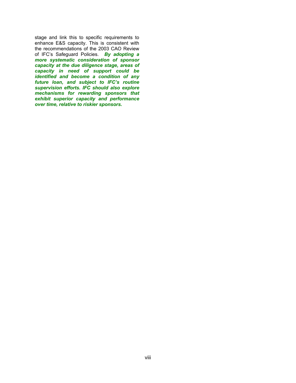stage and link this to specific requirements to enhance E&S capacity. This is consistent with the recommendations of the 2003 CAO Review of IFC's Safeguard Policies. *By adopting a more systematic consideration of sponsor capacity at the due diligence stage, areas of capacity in need of support could be identified and become a condition of any future loan, and subject to IFC's routine supervision efforts. IFC should also explore mechanisms for rewarding sponsors that exhibit superior capacity and performance over time, relative to riskier sponsors.*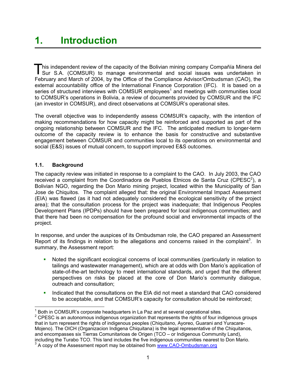This independent review of the capacity of the Bolivian mining company Compañía Minera del<br>Sur S.A. (COMSUR) to manage environmental and social issues was undertaken in Feb ruary and March of 2004, by the Office of the Compliance Advisor/Ombudsman (CAO), the his independent review of the capacity of the Bolivian mining company Compañía Minera del external accountability office of the International Finance Corporation (IFC). It is based on a seriesof structured interviews with COMSUR employees<sup>1</sup> and meetings with communities local to COMSUR's operations in Bolivia, a review of documents provided by COMSUR and the IFC (an investor in COMSUR), and direct observations at COMSUR's operational sites.

The overall objective was to independently assess COMSUR's capacity, with the intention of making recommendations for how capacity might be reinforced and supported as part of the ongoing relationship between COMSUR and the IFC. The anticipated medium to longer-term outcome of the capacity review is to enhance the basis for constructive and substantive engagement between COMSUR and communities local to its operations on environmental and social (E&S) issues of mutual concern, to support improved E&S outcomes.

## **1.1. Background**

The capacity review was initiated in response to a complaint to the CAO. In July 2003, the CAO received a complaint from the Coordinadora de Pueblos Etnicos de Santa Cruz (CPESC<sup>[2](#page-10-1)</sup>), a Bolivian NGO, regarding the Don Mario mining project, located within the Municipality of San Jose de Chiquitos. The complaint alleged that: the original Environmental Impact Assessment (EIA) was flawed (as it had not adequately considered the ecological sensitivity of the project area); that the consultation process for the project was inadequate; that Indigenous Peoples Development Plans (IPDPs) should have been prepared for local indigenous communities; and that there had been no compensation for the profound social and environmental impacts of the project.

In response, and under the auspices of its Ombudsman role, the CAO prepared an Assessment Report of its findings in relation to the allegations and concerns raised in the complaint<sup>[3](#page-10-2)</sup>. In summary, the Assessment report:

- $\blacksquare$ Noted the significant ecological concerns of local communities (particularly in relation to tailings and wastewater management), which are at odds with Don Mario's application of state-of-the-art technology to meet international standards, and urged that the different perspectives on risks be placed at the core of Don Mario's community dialogue, outreach and consultation;
- $\blacksquare$ Indicated that the consultations on the EIA did not meet a standard that CAO considered to be acceptable, and that COMSUR's capacity for consultation should be reinforced;

<sup>————————————————————&</sup>lt;br><sup>1</sup> Both in COMSUR's corporate headquarters in La Paz and at several operational sites.

<span id="page-10-1"></span><span id="page-10-0"></span> $2$  CPESC is an autonomous indigenous organization that represents the rights of four indigenous groups that in turn represent the rights of indigenous peoples (Chiquitano, Ayoreo, Guarani and Yuracare-Mojeno). The OICH (Organizacion Indigena Chiquitana) is the legal representative of the Chiquitanos, and encompasses six Tierras Comunitarioas de Origen (TCO – or Indigenous Community Land), including the Turabo TCO. This land includes the five indigenous communities nearest to Don Mario. 3

<span id="page-10-2"></span>A copy of the Assessment report may be obtained from [www.CAO-Ombudsman.org](http://www.cao-ombudsman.org/)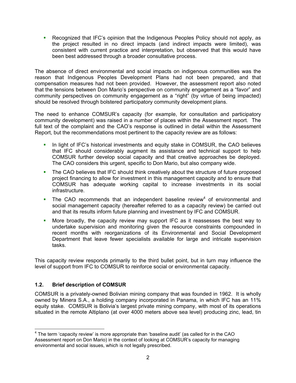**Recognized that IFC's opinion that the Indigenous Peoples Policy should not apply, as** the project resulted in no direct impacts (and indirect impacts were limited), was consistent with current practice and interpretation, but observed that this would have been best addressed through a broader consultative process.

The absence of direct environmental and social impacts on indigenous communities was the reason that Indigenous Peoples Development Plans had not been prepared, and that compensation measures had not been provided. However, the assessment report also noted that the tensions between Don Mario's perspective on community engagement as a "favor" and community perspectives on community engagement as a "right" (by virtue of being impacted) should be resolved through bolstered participatory community development plans.

The need to enhance COMSUR's capacity (for example, for consultation and participatory community development) was raised in a number of places within the Assessment report. The full text of the complaint and the CAO's response is outlined in detail within the Assessment Report, but the recommendations most pertinent to the capacity review are as follows:

- a i In light of IFC's historical investments and equity stake in COMSUR, the CAO believes that IFC should considerably augment its assistance and technical support to help COMSUR further develop social capacity and that creative approaches be deployed. The CAO considers this urgent, specific to Don Mario, but also company wide.
- $\blacksquare$ The CAO believes that IFC should think creatively about the structure of future proposed project financing to allow for investment in this management capacity and to ensure that COMSUR has adequate working capital to increase investments in its social infrastructure.
- $\blacksquare$ The CAO recommends that an independent baseline review<sup>4</sup> of environmental and social management capacity (hereafter referred to as a capacity review) be carried out and that its results inform future planning and investment by IFC and COMSUR.
- a i More broadly, the capacity review may support IFC as it reassesses the best way to undertake supervision and monitoring given the resource constraints compounded in recent months with reorganizations of its Environmental and Social Development Department that leave fewer specialists available for large and intricate supervision tasks.

This capacity review responds primarily to the third bullet point, but in turn may influence the level of support from IFC to COMSUR to reinforce social or environmental capacity.

## **1.2. Brief description of COMSUR**

COMSUR is a privately-owned Bolivian mining company that was founded in 1962. It is wholly owned by Minera S.A., a holding company incorporated in Panama, in which IFC has an 11% equity stake. COMSUR is Bolivia's largest private mining company, with most of its operations situated in the remote Altiplano (at over 4000 meters above sea level) producing zinc, lead, tin

<span id="page-11-0"></span><sup>————————————————————&</sup>lt;br><sup>4</sup> The term 'capacity review' is more appropriate than 'baseline audit' (as called for in the CAO Assessment report on Don Mario) in the context of looking at COMSUR's capacity for managing environmental and social issues, which is not legally prescribed.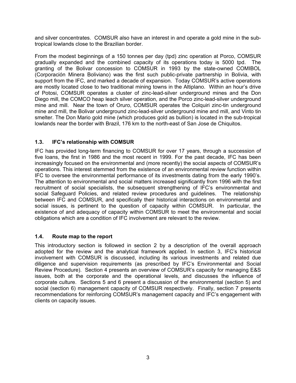and silver concentrates. COMSUR also have an interest in and operate a gold mine in the subtropical lowlands close to the Brazilian border.

From the modest beginnings of a 150 tonnes per day (tpd) zinc operation at Porco, COMSUR gradually expanded and the combined capacity of its operations today is 5000 tpd. The granting of the Bolivar concession to COMSUR in 1993 by the state-owned COMIBOL (Corporación Minera Boliviano) was the first such public-private partnership in Bolivia, with support from the IFC, and marked a decade of expansion. Today COMSUR's active operations are mostly located close to two traditional mining towns in the Altiplano. Within an hour's drive of Potosi, COMSUR operates a cluster of zinc-lead-silver underground mines and the Don Diego mill, the COMCO heap leach silver operation, and the Porco zinc-lead-silver underground mine and mill. Near the town of Oruro, COMSUR operates the Colquiri zinc-tin underground mine and mill, the Bolivar underground zinc-lead-silver underground mine and mill, and Vinto tin smelter. The Don Mario gold mine (which produces gold as bullion) is located in the sub-tropical lowlands near the border with Brazil, 176 km to the north-east of San Jose de Chiquitos.

### **1.3. IFC's relationship with COMSUR**

IFC has provided long-term financing to COMSUR for over 17 years, through a succession of five loans, the first in 1986 and the most recent in 1999. For the past decade, IFC has been increasingly focused on the environmental and (more recently) the social aspects of COMSUR's operations. This interest stemmed from the existence of an environmental review function within IFC to oversee the environmental performance of its investments dating from the early 1990's. The attention to environmental and social matters increased significantly from 1996 with the first recruitment of social specialists, the subsequent strengthening of IFC's environmental and social Safeguard Policies, and related review procedures and guidelines. The relationship between IFC and COMSUR, and specifically their historical interactions on environmental and social issues, is pertinent to the question of capacity within COMSUR. In particular, the existence of and adequacy of capacity within COMSUR to meet the environmental and social obligations which are a condition of IFC involvement are relevant to the review.

#### **1.4. Route map to the report**

This introductory section is followed in section 2 by a description of the overall approach adopted for the review and the analytical framework applied. In section 3, IFC's historical involvement with COMSUR is discussed, including its various investments and related due diligence and supervision requirements (as prescribed by IFC's Environmental and Social Review Procedure). Section 4 presents an overview of COMSUR's capacity for managing E&S issues, both at the corporate and the operational levels, and discusses the influence of corporate culture. Sections 5 and 6 present a discussion of the environmental (section 5) and social (section 6) management capacity of COMSUR respectively. Finally, section 7 presents recommendations for reinforcing COMSUR's management capacity and IFC's engagement with clients on capacity issues.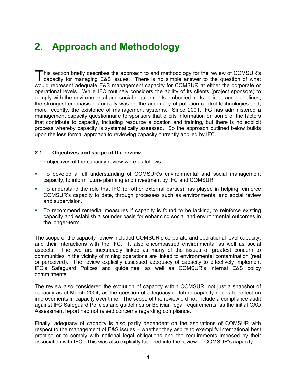This section briefly describes the approach to and methodology for the review of COMSUR's capacity for managing E&S issues. There is no simple answer to the question of what would represent adequate E&S management capacity for COMSUR at either the corporate or operational levels. While IFC routinely considers the ability of its clients (project sponsors) to comply with the environmental and social requirements embodied in its policies and guidelines, the strongest emphasis historically was on the adequacy of pollution control technologies and, more recently, the existence of management systems. Since 2001, IFC has administered a management capacity questionnaire to sponsors that elicits information on some of the factors that contribute to capacity, including resource allocation and training, but there is no explicit process whereby capacity is systematically assessed. So the approach outlined below builds upon the less formal approach to reviewing capacity currently applied by IFC.

#### **2.1. Objectives and scope of the review**

The objectives of the capacity review were as follows:

- To develop a full understanding of COMSUR's environmental and social management capacity, to inform future planning and investment by IFC and COMSUR.  $\mathbf{E}^{(1)}$
- To understand the role that IFC (or other external parties) has played in helping reinforce COMSUR's capacity to date, through processes such as environmental and social review and supervision.
- a i To recommend remedial measures if capacity is found to be lacking, to reinforce existing capacity and establish a sounder basis for enhancing social and environmental outcomes in the longer-term.

The scope of the capacity review included COMSUR's corporate and operational level capacity, and their interactions with the IFC. It also encompassed environmental as well as social aspects. The two are inextricably linked as many of the issues of greatest concern to communities in the vicinity of mining operations are linked to environmental contamination (real or perceived). The review explicitly assessed adequacy of capacity to effectively implement IFC's Safeguard Polices and guidelines, as well as COMSUR's internal E&S policy commitments.

The review also considered the evolution of capacity within COMSUR, not just a snapshot of capacity as of March 2004, as the question of adequacy of future capacity needs to reflect on improvements in capacity over time. The scope of the review did not include a compliance audit against IFC Safeguard Policies and guidelines or Bolivian legal requirements, as the initial CAO Assessment report had not raised concerns regarding compliance.

Finally, adequacy of capacity is also partly dependent on the aspirations of COMSUR with respect to the management of E&S issues – whether they aspire to exemplify international best practice or to comply with national legal obligations and the requirements imposed by their association with IFC. This was also explicitly factored into the review of COMSUR's capacity.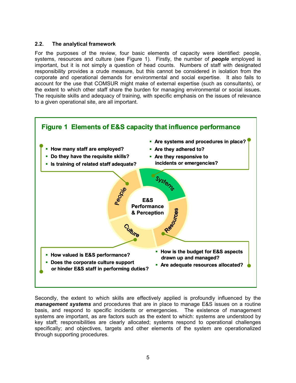#### **2.2. The analytical framework**

For the purposes of the review, four basic elements of capacity were identified: people, systems, resources and culture (see Figure 1). Firstly, the number of *people* employed is important, but it is not simply a question of head counts. Numbers of staff with designated responsibility provides a crude measure, but this cannot be considered in isolation from the corporate and operational demands for environmental and social expertise. It also fails to account for the use that COMSUR might make of external expertise (such as consultants), or the extent to which other staff share the burden for managing environmental or social issues. The requisite skills and adequacy of training, with specific emphasis on the issues of relevance to a given operational site, are all important.



Secondly, the extent to which skills are effectively applied is profoundly influenced by the *management systems* and procedures that are in place to manage E&S issues on a routine basis, and respond to specific incidents or emergencies. The existence of management systems are important, as are factors such as the extent to which: systems are understood by key staff; responsibilities are clearly allocated; systems respond to operational challenges specifically; and objectives, targets and other elements of the system are operationalized through supporting procedures.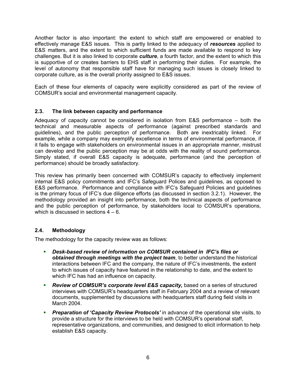Another factor is also important: the extent to which staff are empowered or enabled to effectively manage E&S issues. This is partly linked to the adequacy of *resources* applied to E&S matters, and the extent to which sufficient funds are made available to respond to key challenges. But it is also linked to corporate *culture*, a fourth factor, and the extent to which this is supportive of or creates barriers to EHS staff in performing their duties. For example, the level of autonomy that responsible staff have for managing such issues is closely linked to corporate culture, as is the overall priority assigned to E&S issues.

Each of these four elements of capacity were explicitly considered as part of the review of COMSUR's social and environmental management capacity.

### **2.3. The link between capacity and performance**

Adequacy of capacity cannot be considered in isolation from E&S performance – both the technical and measurable aspects of performance (against prescribed standards and guidelines), and the public perception of performance. Both are inextricably linked. For example, while a company may exemplify excellence in terms of environmental performance, if it fails to engage with stakeholders on environmental issues in an appropriate manner, mistrust can develop and the public perception may be at odds with the reality of sound performance. Simply stated, if overall E&S capacity is adequate, performance (and the perception of performance) should be broadly satisfactory.

This review has primarily been concerned with COMSUR's capacity to effectively implement internal E&S policy commitments and IFC's Safeguard Polices and guidelines, as opposed to E&S performance. Performance and compliance with IFC's Safeguard Policies and guidelines is the primary focus of IFC's due diligence efforts (as discussed in section 3.2.1). However, the methodology provided an insight into performance, both the technical aspects of performance and the public perception of performance, by stakeholders local to COMSUR's operations, which is discussed in sections  $4 - 6$ .

## **2.4. Methodology**

The methodology for the capacity review was as follows:

- *Desk-based review of information on COMSUR contained in IFC's files or obtained through meetings with the project team*, to better understand the historical interactions between IFC and the company, the nature of IFC's investments, the extent to which issues of capacity have featured in the relationship to date, and the extent to which IFC has had an influence on capacity.
- ò. *Review of COMSUR's corporate level E&S capacity,* based on a series of structured interviews with COMSUR's headquarters staff in February 2004 and a review of relevant documents, supplemented by discussions with headquarters staff during field visits in March 2004.
- **Preparation of 'Capacity Review Protocols'** in advance of the operational site visits, to provide a structure for the interviews to be held with COMSUR's operational staff, representative organizations, and communities, and designed to elicit information to help establish E&S capacity.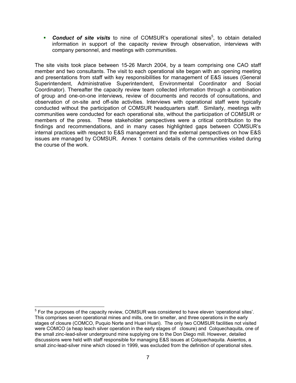**Conduct of site visits** to nine of COMSUR's operational sites<sup>5</sup>, to obtain detailed information in support of the capacity review through observation, interviews with company personnel, and meetings with communities.

The site visits took place between 15-26 March 2004, by a team comprising one CAO staff member and two consultants. The visit to each operational site began with an opening meeting and presentations from staff with key responsibilities for management of E&S issues (General Superintendent, Administrative Superintendent, Environmental Coordinator and Social Coordinator). Thereafter the capacity review team collected information through a combination of group and one-on-one interviews, review of documents and records of consultations, and observation of on-site and off-site activities. Interviews with operational staff were typically conducted without the participation of COMSUR headquarters staff. Similarly, meetings with communities were conducted for each operational site, without the participation of COMSUR or members of the press. These stakeholder perspectives were a critical contribution to the findings and recommendations, and in many cases highlighted gaps between COMSUR's internal practices with respect to E&S management and the external perspectives on how E&S issues are managed by COMSUR. Annex 1 contains details of the communities visited during the course of the work.

<span id="page-16-0"></span><sup>&</sup>lt;u>For the purposes of the capacity</u> review, COMSUR was considered to have eleven 'operational sites'. This comprises seven operational mines and mills, one tin smelter, and three operations in the early stages of closure (COMCO, Puquio Norte and Huari Huari). The only two COMSUR facilities not visited were COMCO (a heap leach silver operation in the early stages of closure) and Colquechaquita, one of the small zinc-lead-silver underground mine supplying ore to the Don Diego mill. However, detailed discussions were held with staff responsible for managing E&S issues at Colquechaquita. Asientos, a small zinc-lead-silver mine which closed in 1999, was excluded from the definition of operational sites.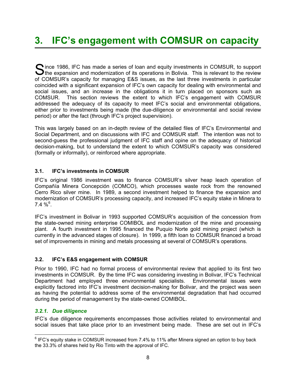# **3. IFC's engagement with COMSUR on capacity**

 $\bigcap$  ince 1986, IFC has made a series of loan and equity investments in COMSUR, to support **U**the expansion and modernization of its operations in Bolivia. This is relevant to the review of COMSUR's capacity for managing E&S issues, as the last three investments in particular coincided with a significant expansion of IFC's own capacity for dealing with environmental and social issues, and an increase in the obligations it in turn placed on sponsors such as COMSUR. This section reviews the extent to which IFC's engagement with COMSUR addressed the adequacy of its capacity to meet IFC's social and environmental obligations, either prior to investments being made (the due-diligence or environmental and social review period) or after the fact (through IFC's project supervision).

This was largely based on an in-depth review of the detailed files of IFC's Environmental and Social Department, and on discussions with IFC and COMSUR staff. The intention was not to second-guess the professional judgment of IFC staff and opine on the adequacy of historical decision-making, but to understand the extent to which COMSUR's capacity was considered (formally or informally), or reinforced where appropriate.

### **3.1. IFC's investments in COMSUR**

IFC's original 1986 investment was to finance COMSUR's silver heap leach operation of Compañía Minera Concepción (COMCO), which processes waste rock from the renowned Cerro Rico silver mine. In 1989, a second investment helped to finance the expansion and modernization of COMSUR's processing capacity, and increased IFC's equity stake in Minera to  $7.4\%^6$  $7.4\%^6$ .

IFC's investment in Bolivar in 1993 supported COMSUR's acquisition of the concession from the state-owned mining enterprise COMIBOL and modernization of the mine and processing plant. A fourth investment in 1995 financed the Puquio Norte gold mining project (which is currently in the advanced stages of closure). In 1999, a fifth loan to COMSUR financed a broad set of improvements in mining and metals processing at several of COMSUR's operations.

#### **3.2. IFC's E&S engagement with COMSUR**

Prior to 1990, IFC had no formal process of environmental review that applied to its first two investments in COMSUR. By the time IFC was considering investing in Bolivar, IFC's Technical Department had employed three environmental specialists. Environmental issues were explicitly factored into IFC's investment decision-making for Bolivar, and the project was seen as having the potential to address some of the environmental degradation that had occurred during the period of management by the state-owned COMIBOL.

#### *3.2.1. Due diligence*

IFC's due diligence requirements encompasses those activities related to environmental and social issues that take place prior to an investment being made. These are set out in IFC's

<span id="page-17-0"></span> <sup>6</sup> IFC's equity stake in COMSUR increased from 7.4% to 11% after Minera signed an option to buy back the 33.3% of shares held by Rio Tinto with the approval of IFC.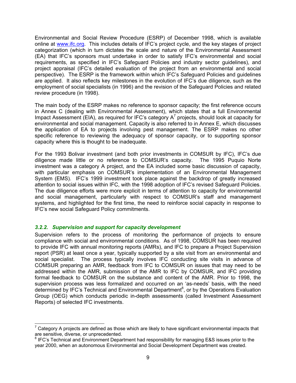Environmental and Social Review Procedure (ESRP) of December 1998, which is available online at www.ifc.org. This includes details of IFC's project cycle, and the key stages of project categorization (which in turn dictates the scale and nature of the Environmental Assessment (EA) that IFC's sponsors must undertake in order to satisfy IFC's environmental and social requirements, as specified in IFC's Safeguard Policies and industry sector guidelines), and project appraisal (IFC's detailed evaluation of the project from an environmental and social perspective). The ESRP is the framework within which IFC's Safeguard Policies and guidelines are applied. It also reflects key milestones in the evolution of IFC's due diligence, such as the employment of social specialists (in 1996) and the revision of the Safeguard Policies and related review procedure (in 1998).

The main body of the ESRP makes no reference to sponsor capacity; the first reference occurs in Annex C (dealing with Environmental Assessment), which states that a full Environmental Impact Assessment (EIA), as required for IFC's category  $A<sup>7</sup>$  $A<sup>7</sup>$  $A<sup>7</sup>$  projects, should look at capacity for environmental and social management. Capacity is also referred to in Annex E, which discusses the application of EA to projects involving pest management. The ESRP makes no other specific reference to reviewing the adequacy of sponsor capacity, or to supporting sponsor capacity where this is thought to be inadequate.

For the 1993 Bolivar investment (and both prior investments in COMSUR by IFC), IFC's due diligence made little or no reference to COMSUR's capacity. The 1995 Puquio Norte investment was a category A project, and the EA included some basic discussion of capacity, with particular emphasis on COMSUR's implementation of an Environmental Management System (EMS). IFC's 1999 investment took place against the backdrop of greatly increased attention to social issues within IFC, with the 1998 adoption of IFC's revised Safeguard Policies. The due diligence efforts were more explicit in terms of attention to capacity for environmental and social management, particularly with respect to COMSUR's staff and management systems, and highlighted for the first time, the need to reinforce social capacity in response to IFC's new social Safeguard Policy commitments.

#### *3.2.2. Supervision and support for capacity development*

Supervision refers to the process of monitoring the performance of projects to ensure compliance with social and environmental conditions. As of 1998, COMSUR has been required to provide IFC with annual monitoring reports (AMRs), and IFC to prepare a Project Supervision report (PSR) at least once a year, typically supported by a site visit from an environmental and social specialist. The process typically involves IFC conducting site visits in advance of COMSUR preparing an AMR, feedback from IFC to COMSUR on issues that may need to be addressed within the AMR, submission of the AMR to IFC by COMSUR, and IFC providing formal feedback to COMSUR on the substance and content of the AMR. Prior to 1998, the supervision process was less formalized and occurred on an 'as-needs' basis, with the need determined by IFC's Technical and Environmental Department<sup>[8](#page-18-1)</sup>, or by the Operations Evaluation Group (OEG) which conducts periodic in-depth assessments (called Investment Assessment Reports) of selected IFC investments.

<span id="page-18-0"></span><sup>————————————————————&</sup>lt;br><sup>7</sup> Category A projects are defined as those which are likely to have significant environmental impacts that are sensitive, diverse, or unprecedented. <sup>8</sup>

<span id="page-18-1"></span> $8$  IFC's Technical and Environment Department had responsibility for managing E&S issues prior to the year 2000, when an autonomous Environmental and Social Development Department was created.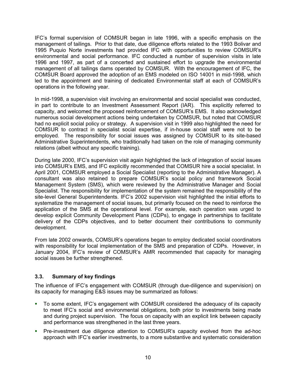IFC's formal supervision of COMSUR began in late 1996, with a specific emphasis on the management of tailings. Prior to that date, due diligence efforts related to the 1993 Bolivar and 1995 Puquio Norte investments had provided IFC with opportunities to review COMSUR's environmental and social performance. IFC conducted a number of supervision visits in late 1996 and 1997, as part of a concerted and sustained effort to upgrade the environmental management of all tailings dams operated by COMSUR. With the encouragement of IFC, the COMSUR Board approved the adoption of an EMS modeled on ISO 14001 in mid-1998, which led to the appointment and training of dedicated Environmental staff at each of COMSUR's operations in the following year.

In mid-1998, a supervision visit involving an environmental and social specialist was conducted, in part to contribute to an Investment Assessment Report (IAR). This explicitly referred to capacity, and welcomed the proposed reinforcement of COMSUR's EMS. It also acknowledged numerous social development actions being undertaken by COMSUR, but noted that COMSUR had no explicit social policy or strategy. A supervision visit in 1999 also highlighted the need for COMSUR to contract in specialist social expertise, if in-house social staff were not to be employed. The responsibility for social issues was assigned by COMSUR to its site-based Administrative Superintendents, who traditionally had taken on the role of managing community relations (albeit without any specific training).

During late 2000, IFC's supervision visit again highlighted the lack of integration of social issues into COMSUR's EMS, and IFC explicitly recommended that COMSUR hire a social specialist. In April 2001, COMSUR employed a Social Specialist (reporting to the Administrative Manager). A consultant was also retained to prepare COMSUR's social policy and framework Social Management System (SMS), which were reviewed by the Administrative Manager and Social Specialist. The responsibility for implementation of the system remained the responsibility of the site-level General Superintendents. IFC's 2002 supervision visit highlighted the initial efforts to systematize the management of social issues, but primarily focused on the need to reinforce the application of the SMS at the operational level. For example, each operation was urged to develop explicit Community Development Plans (CDPs), to engage in partnerships to facilitate delivery of the CDPs objectives, and to better document their contributions to community development.

From late 2002 onwards, COMSUR's operations began to employ dedicated social coordinators with responsibility for local implementation of the SMS and preparation of CDPs. However, in January 2004, IFC's review of COMSUR's AMR recommended that capacity for managing social issues be further strengthened.

## **3.3. Summary of key findings**

The influence of IFC's engagement with COMSUR (through due-diligence and supervision) on its capacity for managing E&S issues may be summarized as follows:

- To some extent, IFC's engagement with COMSUR considered the adequacy of its capacity to meet IFC's social and environmental obligations, both prior to investments being made and during project supervision. The focus on capacity with an explicit link between capacity and performance was strengthened in the last three years. a.
- Pre-investment due diligence attention to COMSUR's capacity evolved from the ad-hoc approach with IFC's earlier investments, to a more substantive and systematic consideration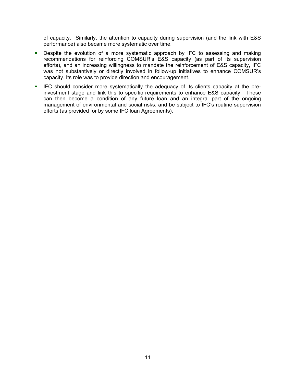of capacity. Similarly, the attention to capacity during supervision (and the link with E&S performance) also became more systematic over time.

- **Despite the evolution of a more systematic approach by IFC to assessing and making** recommendations for reinforcing COMSUR's E&S capacity (as part of its supervision efforts), and an increasing willingness to mandate the reinforcement of E&S capacity, IFC was not substantively or directly involved in follow-up initiatives to enhance COMSUR's capacity. Its role was to provide direction and encouragement.
- IFC should consider more systematically the adequacy of its clients capacity at the preinvestment stage and link this to specific requirements to enhance E&S capacity. These can then become a condition of any future loan and an integral part of the ongoing management of environmental and social risks, and be subject to IFC's routine supervision efforts (as provided for by some IFC loan Agreements).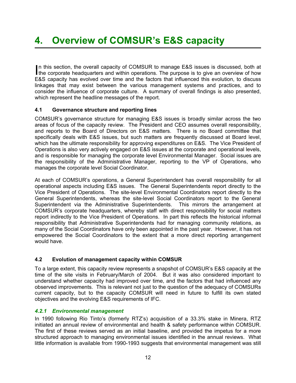# **4. Overview of COMSUR's E&S capacity**

In this section, the overall capacity of COMSUR to manage E&S issues is discussed, both at the corporate headquarters and within operations. The purpose is to give an overview of how In this section, the overall capacity of COMSUR to manage E&S issues is discussed, both at E&S capacity has evolved over time and the factors that influenced this evolution, to discuss linkages that may exist between the various management systems and practices, and to consider the influence of corporate culture. A summary of overall findings is also presented, which represent the headline messages of the report.

### **4.1 Governance structure and reporting lines**

COMSUR's governance structure for managing E&S issues is broadly similar across the two areas of focus of the capacity review. The President and CEO assumes overall responsibility, and reports to the Board of Directors on E&S matters. There is no Board committee that specifically deals with E&S issues, but such matters are frequently discussed at Board level, which has the ultimate responsibility for approving expenditures on E&S. The Vice President of Operations is also very actively engaged on E&S issues at the corporate and operational levels, and is responsible for managing the corporate level Environmental Manager. Social issues are the responsibility of the Administrative Manager, reporting to the VP of Operations, who manages the corporate level Social Coordinator.

At each of COMSUR's operations, a General Superintendent has overall responsibility for all operational aspects including E&S issues. The General Superintendents report directly to the Vice President of Operations. The site-level Environmental Coordinators report directly to the General Superintendents, whereas the site-level Social Coordinators report to the General Superintendent via the Administrative Superintendents. This mirrors the arrangement at COMSUR's corporate headquarters, whereby staff with direct responsibility for social matters report indirectly to the Vice President of Operations. In part this reflects the historical informal responsibility that Administrative Superintendents had for managing community relations, as many of the Social Coordinators have only been appointed in the past year. However, it has not empowered the Social Coordinators to the extent that a more direct reporting arrangement would have.

#### **4.2 Evolution of management capacity within COMSUR**

To a large extent, this capacity review represents a snapshot of COMSUR's E&S capacity at the time of the site visits in February/March of 2004. But it was also considered important to understand whether capacity had improved over time, and the factors that had influenced any observed improvements. This is relevant not just to the question of the adequacy of COMSURs current capacity, but to the capacity COMSUR will need in future to fulfill its own stated objectives and the evolving E&S requirements of IFC.

## *4.2.1 Environmental management*

In 1990 following Rio Tinto's (formerly RTZ's) acquisition of a 33.3% stake in Minera, RTZ initiated an annual review of environmental and health & safety performance within COMSUR. The first of these reviews served as an initial baseline, and provided the impetus for a more structured approach to managing environmental issues identified in the annual reviews. What little information is available from 1990-1993 suggests that environmental management was still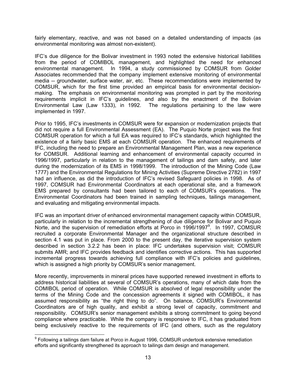fairly elementary, reactive, and was not based on a detailed understanding of impacts (as environmental monitoring was almost non-existent).

IFC's due diligence for the Bolivar investment in 1993 noted the extensive historical liabilities from the period of COMIBOL management, and highlighted the need for enhanced environmental management. In 1994, a study commissioned by COMSUR from Golder Associates recommended that the company implement extensive monitoring of environmental media -- groundwater, surface water, air, etc. These recommendations were implemented by COMSUR, which for the first time provided an empirical basis for environmental decisionmaking. The emphasis on environmental monitoring was prompted in part by the monitoring requirements implicit in IFC's guidelines, and also by the enactment of the Bolivian Environmental Law (Law 1333), in 1992. The regulations pertaining to the law were implemented in 1997.

Prior to 1995, IFC's investments in COMSUR were for expansion or modernization projects that did not require a full Environmental Assessment (EA). The Puquio Norte project was the first COMSUR operation for which a full EA was required to IFC's standards, which highlighted the existence of a fairly basic EMS at each COMSUR operation. The enhanced requirements of IFC, including the need to prepare an Environmental Management Plan, was a new experience for COMSUR. Additional learning and enhancement of environmental capacity occurred in 1996/1997, particularly in relation to the management of tailings and dam safety, and later during the modernization of its EMS in 1998/1999. The introduction of the Mining Code (Law 1777) and the Environmental Regulations for Mining Activities (Supreme Directive 2782) in 1997 had an influence, as did the introduction of IFC's revised Safeguard policies in 1998. As of 1997, COMSUR had Environmental Coordinators at each operational site, and a framework EMS prepared by consultants had been tailored to each of COMSUR's operations. The Environmental Coordinators had been trained in sampling techniques, tailings management, and evaluating and mitigating environmental impacts.

IFC was an important driver of enhanced environmental management capacity within COMSUR, particularly in relation to the incremental strengthening of due diligence for Bolivar and Puquio Norte, and the supervision of remediation efforts at Porco in 1[9](#page-22-0)96/1997 $^9$ . In 1997, COMSUR recruited a corporate Environmental Manager and the organizational structure described in section 4.1 was put in place. From 2000 to the present day, the iterative supervision system described in section 3.2.2 has been in place: IFC undertakes supervision visit; COMSUR submits AMR; and IFC provides feedback and identifies corrective actions. This has supported incremental progress towards achieving full compliance with IFC's policies and guidelines, which is assigned a high priority by COMSUR's senior management.

More recently, improvements in mineral prices have supported renewed investment in efforts to address historical liabilities at several of COMSUR's operations, many of which date from the COMIBOL period of operation. While COMSUR is absolved of legal responsibility under the terms of the Mining Code and the concession agreements it signed with COMIBOL, it has assumed responsibility as "the right thing to do". On balance, COMSUR's Environmental Coordinators are of high quality, and exhibit a strong level of capacity, commitment and responsibility. COMSUR's senior management exhibits a strong commitment to going beyond compliance where practicable. While the company is responsive to IFC, it has graduated from being exclusively reactive to the requirements of IFC (and others, such as the regulatory

<span id="page-22-0"></span>endie – Collowing a tailings dam failure at Porco in August 1996, COMSUR undertook extensive remediation –<br>Prollowing a tailings dam failure at Porco in August 1996, COMSUR undertook extensive remediation efforts and significantly strengthened its approach to tailings dam design and management.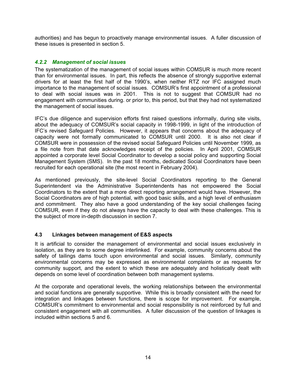authorities) and has begun to proactively manage environmental issues. A fuller discussion of these issues is presented in section 5.

#### *4.2.2 Management of social issues*

The systematization of the management of social issues within COMSUR is much more recent than for environmental issues. In part, this reflects the absence of strongly supportive external drivers for at least the first half of the 1990's, when neither RTZ nor IFC assigned much importance to the management of social issues. COMSUR's first appointment of a professional to deal with social issues was in 2001. This is not to suggest that COMSUR had no engagement with communities during. or prior to, this period, but that they had not systematized the management of social issues.

IFC's due diligence and supervision efforts first raised questions informally, during site visits, about the adequacy of COMSUR's social capacity in 1998-1999, in light of the introduction of IFC's revised Safeguard Policies. However, it appears that concerns about the adequacy of capacity were not formally communicated to COMSUR until 2000. It is also not clear if COMSUR were in possession of the revised social Safeguard Policies until November 1999, as a file note from that date acknowledges receipt of the policies. In April 2001, COMSUR appointed a corporate level Social Coordinator to develop a social policy and supporting Social Management System (SMS). In the past 18 months, dedicated Social Coordinators have been recruited for each operational site (the most recent in February 2004).

As mentioned previously, the site-level Social Coordinators reporting to the General Superintendent via the Administrative Superintendents has not empowered the Social Coordinators to the extent that a more direct reporting arrangement would have. However, the Social Coordinators are of high potential, with good basic skills, and a high level of enthusiasm and commitment. They also have a good understanding of the key social challenges facing COMSUR, even if they do not always have the capacity to deal with these challenges. This is the subject of more in-depth discussion in section 7.

#### **4.3 Linkages between management of E&S aspects**

It is artificial to consider the management of environmental and social issues exclusively in isolation, as they are to some degree interlinked. For example, community concerns about the safety of tailings dams touch upon environmental and social issues. Similarly, community environmental concerns may be expressed as environmental complaints or as requests for community support, and the extent to which these are adequately and holistically dealt with depends on some level of coordination between both management systems.

At the corporate and operational levels, the working relationships between the environmental and social functions are generally supportive. While this is broadly consistent with the need for integration and linkages between functions, there is scope for improvement. For example, COMSUR's commitment to environmental and social responsibility is not reinforced by full and consistent engagement with all communities. A fuller discussion of the question of linkages is included within sections 5 and 6.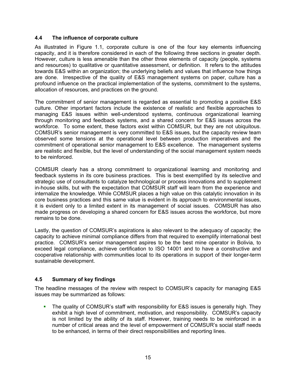#### **4.4 The influence of corporate culture**

As illustrated in Figure 1.1, corporate culture is one of the four key elements influencing capacity, and it is therefore considered in each of the following three sections in greater depth. However, culture is less amenable than the other three elements of capacity (people, systems and resources) to qualitative or quantitative assessment, or definition. It refers to the attitudes towards E&S within an organization; the underlying beliefs and values that influence how things are done. Irrespective of the quality of E&S management systems on paper, culture has a profound influence on the practical implementation of the systems, commitment to the systems, allocation of resources, and practices on the ground.

The commitment of senior management is regarded as essential to promoting a positive E&S culture. Other important factors include the existence of realistic and flexible approaches to managing E&S issues within well-understood systems, continuous organizational learning through monitoring and feedback systems, and a shared concern for E&S issues across the workforce. To some extent, these factors exist within COMSUR, but they are not ubiquitous. COMSUR's senior management is very committed to E&S issues, but the capacity review team observed some tensions at the operational level between production imperatives and the commitment of operational senior management to E&S excellence. The management systems are realistic and flexible, but the level of understanding of the social management system needs to be reinforced.

COMSUR clearly has a strong commitment to organizational learning and monitoring and feedback systems in its core business practices. This is best exemplified by its selective and strategic use of consultants to catalyze technological or process innovations and to supplement in-house skills, but with the expectation that COMSUR staff will learn from the experience and internalize the knowledge. While COMSUR places a high value on this catalytic innovation in its core business practices and this same value is evident in its approach to environmental issues, it is evident only to a limited extent in its management of social issues. COMSUR has also made progress on developing a shared concern for E&S issues across the workforce, but more remains to be done.

Lastly, the question of COMSUR's aspirations is also relevant to the adequacy of capacity; the capacity to achieve minimal compliance differs from that required to exemplify international best practice. COMSUR's senior management aspires to be the best mine operator in Bolivia, to exceed legal compliance, achieve certification to ISO 14001 and to have a constructive and cooperative relationship with communities local to its operations in support of their longer-term sustainable development.

## **4.5 Summary of key findings**

The headline messages of the review with respect to COMSUR's capacity for managing E&S issues may be summarized as follows:

The quality of COMSUR's staff with responsibility for E&S issues is generally high. They exhibit a high level of commitment, motivation, and responsibility. COMSUR's capacity is not limited by the ability of its staff. However, training needs to be reinforced in a number of critical areas and the level of empowerment of COMSUR's social staff needs to be enhanced, in terms of their direct responsibilities and reporting lines. ò.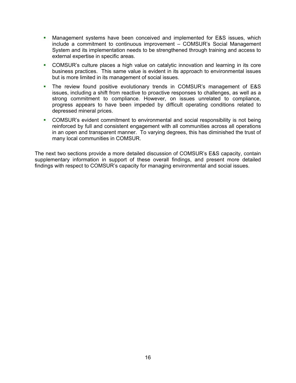- Management systems have been conceived and implemented for E&S issues, which include a commitment to continuous improvement – COMSUR's Social Management System and its implementation needs to be strengthened through training and access to external expertise in specific areas.  $\mathbf{E}^{\text{max}}$
- $\mathbf{r}$ COMSUR's culture places a high value on catalytic innovation and learning in its core business practices. This same value is evident in its approach to environmental issues but is more limited in its management of social issues.
- $\blacksquare$ The review found positive evolutionary trends in COMSUR's management of E&S issues, including a shift from reactive to proactive responses to challenges, as well as a strong commitment to compliance. However, on issues unrelated to compliance, progress appears to have been impeded by difficult operating conditions related to depressed mineral prices.
- COMSUR's evident commitment to environmental and social responsibility is not being reinforced by full and consistent engagement with all communities across all operations in an open and transparent manner. To varying degrees, this has diminished the trust of many local communities in COMSUR.

The next two sections provide a more detailed discussion of COMSUR's E&S capacity, contain supplementary information in support of these overall findings, and present more detailed findings with respect to COMSUR's capacity for managing environmental and social issues.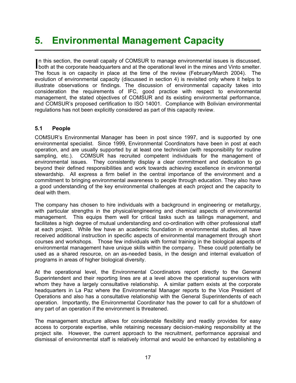# **5. Environmental Management Capacity**

In this section, the overall capaity of COMSUR to manage environmental issues is discussed, both at the corporate headquarters and at the operational level in the mines and Vinto smelter. n this section, the overall capaity of COMSUR to manage environmental issues is discussed, The focus is on capacity in place at the time of the review (February/March 2004). The evolution of environmental capacity (discussed in section 4) is revisited only where it helps to illustrate observations or findings. The discussion of environmental capacity takes into consideration the requirements of IFC, good practice with respect to environmental management, the stated objectives of COMSUR and its existing environmental performance, and COMSUR's proposed certification to ISO 14001. Compliance with Bolivian environmental regulations has not been explicitly considered as part of this capacity review.

### **5.1 People**

COMSUR's Environmental Manager has been in post since 1997, and is supported by one environmental specialist. Since 1999, Environmental Coordinators have been in post at each operation, and are usually supported by at least one technician (with responsibility for routine sampling, etc.). COMSUR has recruited competent individuals for the management of environmental issues. They consistently display a clear commitment and dedication to go beyond their defined responsibilities and work towards achieving excellence in environmental stewardship. All express a firm belief in the central importance of the environment and a commitment to bringing environmental awareness to people through education. They also have a good understanding of the key environmental challenges at each project and the capacity to deal with them.

The company has chosen to hire individuals with a background in engineering or metallurgy, with particular strengths in the physical/engineering and chemical aspects of environmental management. This equips them well for critical tasks such as tailings management, and facilitates a high degree of mutual understanding and co-ordination with other professional staff at each project. While few have an academic foundation in environmental studies, all have received additional instruction in specific aspects of environmental management through short courses and workshops. Those few individuals with formal training in the biological aspects of environmental management have unique skills within the company. These could potentially be used as a shared resource, on an as-needed basis, in the design and internal evaluation of programs in areas of higher biological diversity.

At the operational level, the Environmental Coordinators report directly to the General Superintendent and their reporting lines are at a level above the operational supervisors with whom they have a largely consultative relationship. A similar pattern exists at the corporate headquarters in La Paz where the Environmental Manager reports to the Vice President of Operations and also has a consultative relationship with the General Superintendents of each operation. Importantly, the Environmental Coordinator has the power to call for a shutdown of any part of an operation if the environment is threatened.

The management structure allows for considerable flexibility and readily provides for easy access to corporate expertise, while retaining necessary decision-making responsibility at the project site. However, the current approach to the recruitment, performance appraisal and dismissal of environmental staff is relatively informal and would be enhanced by establishing a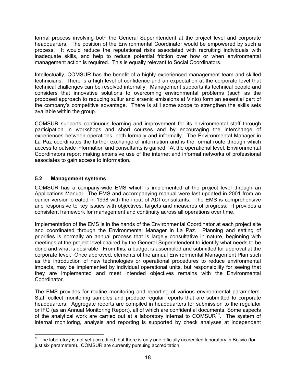formal process involving both the General Superintendent at the project level and corporate headquarters. The position of the Environmental Coordinator would be empowered by such a process. It would reduce the reputational risks associated with recruiting individuals with inadequate skills, and help to reduce potential friction over how or when environmental management action is required. This is equally relevant to Social Coordinators.

Intellectually, COMSUR has the benefit of a highly experienced management team and skilled technicians. There is a high level of confidence and an expectation at the corporate level that technical challenges can be resolved internally. Management supports its technical people and considers that innovative solutions to overcoming environmental problems (such as the proposed approach to reducing sulfur and arsenic emissions at Vinto) form an essential part of the company's competitive advantage. There is still some scope to strengthen the skills sets available within the group.

COMSUR supports continuous learning and improvement for its environmental staff through participation in workshops and short courses and by encouraging the interchange of experiences between operations, both formally and informally. The Environmental Manager in La Paz coordinates the further exchange of information and is the formal route through which access to outside information and consultants is gained. At the operational level, Environmental Coordinators report making extensive use of the internet and informal networks of professional associates to gain access to information.

### **5.2 Management systems**

COMSUR has a company-wide EMS which is implemented at the project level through an Applications Manual. The EMS and accompanying manual were last updated in 2001 from an earlier version created in 1998 with the input of ADI consultants. The EMS is comprehensive and responsive to key issues with objectives, targets and measures of progress. It provides a consistent framework for management and continuity across all operations over time.

Implementation of the EMS is in the hands of the Environmental Coordinator at each project site and coordinated through the Environmental Manager in La Paz. Planning and setting of priorities is normally an annual process that is largely consultative in nature, beginning with meetings at the project level chaired by the General Superintendent to identify what needs to be done and what is desirable. From this, a budget is assembled and submitted for approval at the corporate level. Once approved, elements of the annual Environmental Management Plan such as the introduction of new technologies or operational procedures to reduce environmental impacts, may be implemented by individual operational units, but responsibility for seeing that they are implemented and meet intended objectives remains with the Environmental Coordinator.

The EMS provides for routine monitoring and reporting of various environmental parameters. Staff collect monitoring samples and produce regular reports that are submitted to corporate headquarters. Aggregate reports are compiled in headquarters for submission to the regulator or IFC (as an Annual Monitoring Report), all of which are confidential documents. Some aspects of the analytical work are carried out at a laboratory internal to COMSUR $10^{\circ}$ . The system of internal monitoring, analysis and reporting is supported by check analyses at independent

<span id="page-27-0"></span> $10$  The laboratory is not yet accredited, but there is only one officially accredited laboratory in Bolivia (for just six parameters). COMSUR are currently pursuing accreditation.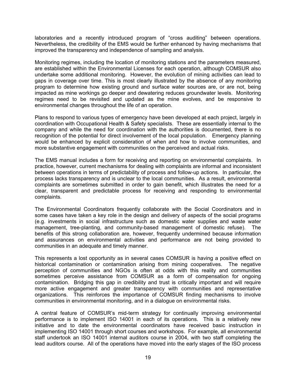laboratories and a recently introduced program of "cross auditing" between operations. Nevertheless, the credibility of the EMS would be further enhanced by having mechanisms that improved the transparency and independence of sampling and analysis.

Monitoring regimes, including the location of monitoring stations and the parameters measured, are established within the Environmental Licenses for each operation, although COMSUR also undertake some additional monitoring. However, the evolution of mining activities can lead to gaps in coverage over time. This is most clearly illustrated by the absence of any monitoring program to determine how existing ground and surface water sources are, or are not, being impacted as mine workings go deeper and dewatering reduces groundwater levels. Monitoring regimes need to be revisited and updated as the mine evolves, and be responsive to environmental changes throughout the life of an operation.

Plans to respond to various types of emergency have been developed at each project, largely in coordination with Occupational Health & Safety specialists. These are essentially internal to the company and while the need for coordination with the authorities is documented, there is no recognition of the potential for direct involvement of the local population. Emergency planning would be enhanced by explicit consideration of when and how to involve communities, and more substantive engagement with communities on the perceived and actual risks.

The EMS manual includes a form for receiving and reporting on environmental complaints. In practice, however, current mechanisms for dealing with complaints are informal and inconsistent between operations in terms of predictability of process and follow-up actions. In particular, the process lacks transparency and is unclear to the local communities. As a result, environmental complaints are sometimes submitted in order to gain benefit, which illustrates the need for a clear, transparent and predictable process for receiving and responding to environmental complaints.

The Environmental Coordinators frequently collaborate with the Social Coordinators and in some cases have taken a key role in the design and delivery of aspects of the social programs (e.g. investments in social infrastructure such as domestic water supplies and waste water management, tree-planting, and community-based management of domestic refuse). The benefits of this strong collaboration are, however, frequently undermined because information and assurances on environmental activities and performance are not being provided to communities in an adequate and timely manner.

This represents a lost opportunity as in several cases COMSUR is having a positive effect on historical contamination or contamination arising from mining cooperatives. The negative perception of communities and NGOs is often at odds with this reality and communities sometimes perceive assistance from COMSUR as a form of compensation for ongoing contamination. Bridging this gap in credibility and trust is critically important and will require more active engagement and greater transparency with communities and representative organizations. This reinforces the importance of COMSUR finding mechanisms to involve communities in environmental monitoring, and in a dialogue on environmental risks.

A central feature of COMSUR's mid-term strategy for continually improving environmental performance is to implement ISO 14001 in each of its operations. This is a relatively new initiative and to date the environmental coordinators have received basic instruction in implementing ISO 14001 through short courses and workshops. For example, all environmental staff undertook an ISO 14001 internal auditors course in 2004, with two staff completing the lead auditors course. All of the operations have moved into the early stages of the ISO process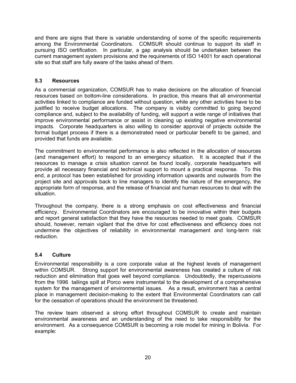and there are signs that there is variable understanding of some of the specific requirements among the Environmental Coordinators. COMSUR should continue to support its staff in pursuing ISO certification. In particular, a gap analysis should be undertaken between the current management system provisions and the requirements of ISO 14001 for each operational site so that staff are fully aware of the tasks ahead of them.

## **5.3 Resources**

As a commercial organization, COMSUR has to make decisions on the allocation of financial resources based on bottom-line considerations. In practice, this means that all environmental activities linked to compliance are funded without question, while any other activities have to be justified to receive budget allocations. The company is visibly committed to going beyond compliance and, subject to the availability of funding, will support a wide range of initiatives that improve environmental performance or assist in cleaning up existing negative environmental impacts. Corporate headquarters is also willing to consider approval of projects outside the formal budget process if there is a demonstrated need or particular benefit to be gained, and provided that funds are available.

The commitment to environmental performance is also reflected in the allocation of resources (and management effort) to respond to an emergency situation. It is accepted that if the resources to manage a crisis situation cannot be found locally, corporate headquarters will provide all necessary financial and technical support to mount a practical response. To this end, a protocol has been established for providing information upwards and outwards from the project site and approvals back to line managers to identify the nature of the emergency, the appropriate form of response, and the release of financial and human resources to deal with the situation.

Throughout the company, there is a strong emphasis on cost effectiveness and financial efficiency. Environmental Coordinators are encouraged to be innovative within their budgets and report general satisfaction that they have the resources needed to meet goals. COMSUR should, however, remain vigilant that the drive for cost effectiveness and efficiency does not undermine the objectives of reliability in environmental management and long-term risk reduction.

## **5.4 Culture**

Environmental responsibility is a core corporate value at the highest levels of management within COMSUR. Strong support for environmental awareness has created a culture of risk reduction and elimination that goes well beyond compliance. Undoubtedly, the repercussions from the 1996 tailings spill at Porco were instrumental to the development of a comprehensive system for the management of environmental issues. As a result, environment has a central place in management decision-making to the extent that Environmental Coordinators can call for the cessation of operations should the environment be threatened.

The review team observed a strong effort throughout COMSUR to create and maintain environmental awareness and an understanding of the need to take responsibility for the environment. As a consequence COMSUR is becoming a role model for mining in Bolivia. For example: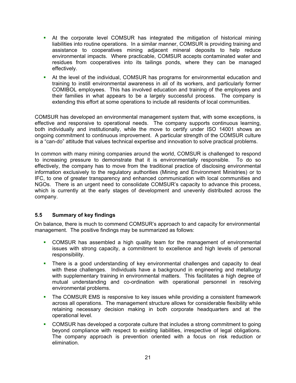- At the corporate level COMSUR has integrated the mitigation of historical mining liabilities into routine operations. In a similar manner, COMSUR is providing training and assistance to cooperatives mining adjacent mineral deposits to help reduce environmental impacts. Where practicable, COMSUR accepts contaminated water and residues from cooperatives into its tailings ponds, where they can be managed effectively.
- At the level of the individual, COMSUR has programs for environmental education and training to instill environmental awareness in all of its workers, and particularly former COMIBOL employees. This has involved education and training of the employees and their families in what appears to be a largely successful process. The company is extending this effort at some operations to include all residents of local communities.

COMSUR has developed an environmental management system that, with some exceptions, is effective and responsive to operational needs. The company supports continuous learning, both individually and institutionally, while the move to certify under ISO 14001 shows an ongoing commitment to continuous improvement. A particular strength of the COMSUR culture is a "can-do" attitude that values technical expertise and innovation to solve practical problems.

In common with many mining companies around the world, COMSUR is challenged to respond to increasing pressure to demonstrate that it is environmentally responsible. To do so effectively, the company has to move from the traditional practice of disclosing environmental information exclusively to the regulatory authorities (Mining and Environment Ministries) or to IFC, to one of greater transparency and enhanced communication with local communities and NGOs. There is an urgent need to consolidate COMSUR's capacity to advance this process, which is currently at the early stages of development and unevenly distributed across the company.

#### **5.5 Summary of key findings**

On balance, there is much to commend COMSUR's approach to and capacity for environmental management. The positive findings may be summarized as follows:

- COMSUR has assembled a high quality team for the management of environmental issues with strong capacity, a commitment to excellence and high levels of personal responsibility.
- **There is a good understanding of key environmental challenges and capacity to deal** with these challenges. Individuals have a background in engineering and metallurgy with supplementary training in environmental matters. This facilitates a high degree of mutual understanding and co-ordination with operational personnel in resolving environmental problems.
- $\mathbf{r}$ The COMSUR EMS is responsive to key issues while providing a consistent framework across all operations. The management structure allows for considerable flexibility while retaining necessary decision making in both corporate headquarters and at the operational level.
- COMSUR has developed a corporate culture that includes a strong commitment to going beyond compliance with respect to existing liabilities, irrespective of legal obligations. The company approach is prevention oriented with a focus on risk reduction or elimination.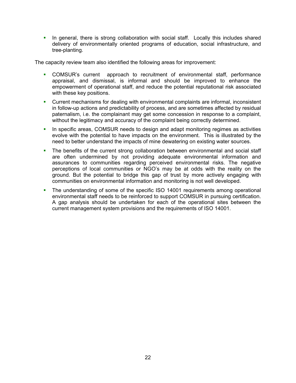• In general, there is strong collaboration with social staff. Locally this includes shared delivery of environmentally oriented programs of education, social infrastructure, and tree-planting.

The capacity review team also identified the following areas for improvement:

- COMSUR's current approach to recruitment of environmental staff, performance appraisal, and dismissal, is informal and should be improved to enhance the empowerment of operational staff, and reduce the potential reputational risk associated with these key positions.
- ò, Current mechanisms for dealing with environmental complaints are informal, inconsistent in follow-up actions and predictability of process, and are sometimes affected by residual paternalism, i.e. the complainant may get some concession in response to a complaint, without the legitimacy and accuracy of the complaint being correctly determined.
- a. In specific areas, COMSUR needs to design and adapt monitoring regimes as activities evolve with the potential to have impacts on the environment. This is illustrated by the need to better understand the impacts of mine dewatering on existing water sources.
- $\mathbf{r}$ The benefits of the current strong collaboration between environmental and social staff are often undermined by not providing adequate environmental information and assurances to communities regarding perceived environmental risks. The negative perceptions of local communities or NGO's may be at odds with the reality on the ground. But the potential to bridge this gap of trust by more actively engaging with communities on environmental information and monitoring is not well developed.
- a. The understanding of some of the specific ISO 14001 requirements among operational environmental staff needs to be reinforced to support COMSUR in pursuing certification. A gap analysis should be undertaken for each of the operational sites between the current management system provisions and the requirements of ISO 14001.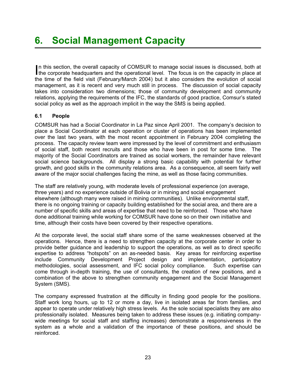In this section, the overall capacity of COMSUR to manage social issues is discussed, both at the corporate headquarters and the operational level. The focus is on the capacity in place at n this section, the overall capacity of COMSUR to manage social issues is discussed, both at the time of the field visit (February/March 2004) but it also considers the evolution of social management, as it is recent and very much still in process. The discussion of social capacity takes into consideration two dimensions; those of community development and community relations, applying the requirements of the IFC, the standards of good practice, Comsur's stated social policy as well as the approach implicit in the way the SMS is being applied.

## **6.1 People**

COMSUR has had a Social Coordinator in La Paz since April 2001. The company's decision to place a Social Coordinator at each operation or cluster of operations has been implemented over the last two years, with the most recent appointment in February 2004 completing the process. The capacity review team were impressed by the level of commitment and enthusiasm of social staff, both recent recruits and those who have been in post for some time. The majority of the Social Coordinators are trained as social workers, the remainder have relevant social science backgrounds. All display a strong basic capability with potential for further growth, and good skills in the community relations area. As a consequence, all seem fairly well aware of the major social challenges facing the mine, as well as those facing communities.

The staff are relatively young, with moderate levels of professional experience (on average, three years) and no experience outside of Bolivia or in mining and social engagement elsewhere (although many were raised in mining communities). Unlike environmental staff, there is no ongoing training or capacity building established for the social area, and there are a number of specific skills and areas of expertise that need to be reinforced. Those who have done additional training while working for COMSUR have done so on their own initiative and time, although their costs have been covered by their respective operations.

At the corporate level, the social staff share some of the same weaknesses observed at the operations. Hence, there is a need to strengthen capacity at the corporate center in order to provide better guidance and leadership to support the operations, as well as to direct specific expertise to address "hotspots" on an as-needed basis. Key areas for reinforcing expertise include Community Development Project design and implementation, participatory methodologies, social assessment, and IFC social policy compliance. Such expertise can come through in-depth training, the use of consultants, the creation of new positions, and a combination of the above to strengthen community engagement and the Social Management System (SMS).

The company expressed frustration at the difficulty in finding good people for the positions. Staff work long hours, up to 12 or more a day, live in isolated areas far from families, and appear to operate under relatively high stress levels. As the sole social specialists they are also professionally isolated. Measures being taken to address these issues (e.g. initiating companywide meetings for social staff and staffing increases) demonstrate a responsiveness in the system as a whole and a validation of the importance of these positions, and should be reinforced.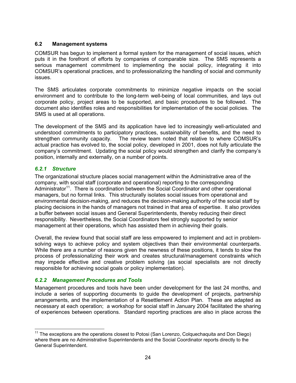### **6.2 Management systems**

COMSUR has begun to implement a formal system for the management of social issues, which puts it in the forefront of efforts by companies of comparable size. The SMS represents a serious management commitment to implementing the social policy, integrating it into COMSUR's operational practices, and to professionalizing the handling of social and community issues.

The SMS articulates corporate commitments to minimize negative impacts on the social environment and to contribute to the long-term well-being of local communities, and lays out corporate policy, project areas to be supported, and basic procedures to be followed. The document also identifies roles and responsibilities for implementation of the social policies. The SMS is used at all operations.

The development of the SMS and its application have led to increasingly well-articulated and understood commitments to participatory practices, sustainability of benefits, and the need to strengthen community capacity. The review team noted that relative to where COMSUR's actual practice has evolved to, the social policy, developed in 2001, does not fully articulate the company's commitment. Updating the social policy would strengthen and clarify the company's position, internally and externally, on a number of points.

### *6.2.1 Structure*

The organizational structure places social management within the Administrative area of the company, with social staff (corporate and operational) reporting to the corresponding Administrator<sup>11</sup>. There is coordination between the Social Coordinator and other operational managers, but no formal links. This structurally isolates social issues from operational and environmental decision-making, and reduces the decision-making authority of the social staff by placing decisions in the hands of managers not trained in that area of expertise. It also provides a buffer between social issues and General Superintendents, thereby reducing their direct responsibility. Nevertheless, the Social Coordinators feel strongly supported by senior management at their operations, which has assisted them in achieving their goals.

Overall, the review found that social staff are less empowered to implement and act in problemsolving ways to achieve policy and system objectives than their environmental counterparts. While there are a number of reasons given the newness of these positions, it tends to slow the process of professionalizing their work and creates structural/management constraints which may impede effective and creative problem solving (as social specialists are not directly responsible for achieving social goals or policy implementation).

## *6.2.2 Management Procedures and Tools*

Management procedures and tools have been under development for the last 24 months, and include a series of supporting documents to guide the development of projects, partnership arrangements, and the implementation of a Resettlement Action Plan. These are adapted as necessary at each operation; a workshop for social staff in January 2004 facilitated the sharing of experiences between operations. Standard reporting practices are also in place across the

<span id="page-33-0"></span> $11$  The exceptions are the operations closest to Potosi (San Lorenzo, Colquechaquita and Don Diego) where there are no Administrative Superintendents and the Social Coordinator reports directly to the General Superintendent.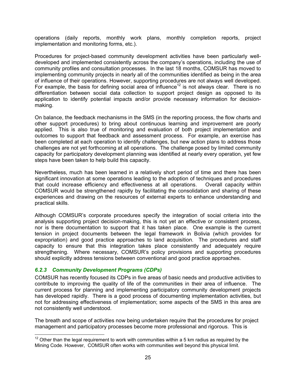operations (daily reports, monthly work plans, monthly completion reports, project implementation and monitoring forms, etc.).

Procedures for project-based community development activities have been particularly welldeveloped and implemented consistently across the company's operations, including the use of community profiles and consultation processes. In the last 18 months, COMSUR has moved to implementing community projects in nearly all of the communities identified as being in the area of influence of their operations. However, supporting procedures are not always well developed. For example, the basis for defining social area of influence<sup>12</sup> is not always clear. There is no differentiation between social data collection to support project design as opposed to its application to identify potential impacts and/or provide necessary information for decisionmaking.

On balance, the feedback mechanisms in the SMS (in the reporting process, the flow charts and other support procedures) to bring about continuous learning and improvement are poorly applied. This is also true of monitoring and evaluation of both project implementation and outcomes to support that feedback and assessment process. For example, an exercise has been completed at each operation to identify challenges, but new action plans to address those challenges are not yet forthcoming at all operations. The challenge posed by limited community capacity for participatory development planning was identified at nearly every operation, yet few steps have been taken to help build this capacity.

Nevertheless, much has been learned in a relatively short period of time and there has been significant innovation at some operations leading to the adoption of techniques and procedures that could increase efficiency and effectiveness at all operations. Overall capacity within COMSUR would be strengthened rapidly by facilitating the consolidation and sharing of these experiences and drawing on the resources of external experts to enhance understanding and practical skills.

Although COMSUR's corporate procedures specify the integration of social criteria into the analysis supporting project decision-making, this is not yet an effective or consistent process, nor is there documentation to support that it has taken place. One example is the current tension in project documents between the legal framework in Bolivia (which provides for expropriation) and good practice approaches to land acquisition. The procedures and staff capacity to ensure that this integration takes place consistently and adequately require strengthening. Where necessary, COMSUR's policy provisions and supporting procedures should explicitly address tensions between conventional and good practice approaches.

#### *6.2.3 Community Development Programs (CDPs)*

COMSUR has recently focused its CDPs in five areas of basic needs and productive activities to contribute to improving the quality of life of the communities in their area of influence. The current process for planning and implementing participatory community development projects has developed rapidly. There is a good process of documenting implementation activities, but not for addressing effectiveness of implementation; some aspects of the SMS in this area are not consistently well understood.

The breath and scope of activities now being undertaken require that the procedures for project management and participatory processes become more professional and rigorous. This is

<span id="page-34-0"></span> $12$  Other than the legal requirement to work with communities within a 5 km radius as required by the Mining Code. However, COMSUR often works with communities well beyond this physical limit.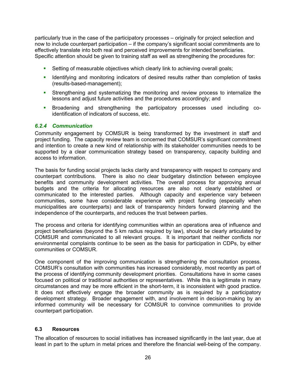particularly true in the case of the participatory processes – originally for project selection and now to include counterpart participation – if the company's significant social commitments are to effectively translate into both real and perceived improvements for intended beneficiaries. Specific attention should be given to training staff as well as strengthening the procedures for:

- Setting of measurable objectives which clearly link to achieving overall goals;
- **If Identifying and monitoring indicators of desired results rather than completion of tasks** (results-based-management);
- Strengthening and systematizing the monitoring and review process to internalize the lessons and adjust future activities and the procedures accordingly; and
- Broadening and strengthening the participatory processes used including coidentification of indicators of success, etc.

### *6.2.4 Communication*

Community engagement by COMSUR is being transformed by the investment in staff and project funding. The capacity review team is concerned that COMSUR's significant commitment and intention to create a new kind of relationship with its stakeholder communities needs to be supported by a clear communication strategy based on transparency, capacity building and access to information.

The basis for funding social projects lacks clarity and transparency with respect to company and counterpart contributions. There is also no clear budgetary distinction between employee benefits and community development activities. The overall process for approving annual budgets and the criteria for allocating resources are also not clearly established or communicated to the interested parties. Although capacity and experience vary between communities, some have considerable experience with project funding (especially when municipalities are counterparts) and lack of transparency hinders forward planning and the independence of the counterparts, and reduces the trust between parties.

The process and criteria for identifying communities within an operations area of influence and project beneficiaries (beyond the 5 km radius required by law), should be clearly articulated by COMSUR and communicated to all relevant groups. It is important that neither conflicts nor environmental complaints continue to be seen as the basis for participation in CDPs, by either communities or COMSUR.

One component of the improving communication is strengthening the consultation process. COMSUR's consultation with communities has increased considerably, most recently as part of the process of identifying community development priorities. Consultations have in some cases focused on political or traditional authorities or representatives. While this is legitimate in many circumstances and may be more efficient in the short-term, it is inconsistent with good practice. It does not effectively engage the broader community as is required by a participatory development strategy. Broader engagement with, and involvement in decision-making by an informed community will be necessary for COMSUR to convince communities to provide counterpart participation.

#### **6.3 Resources**

The allocation of resources to social initiatives has increased significantly in the last year, due at least in part to the upturn in metal prices and therefore the financial well-being of the company.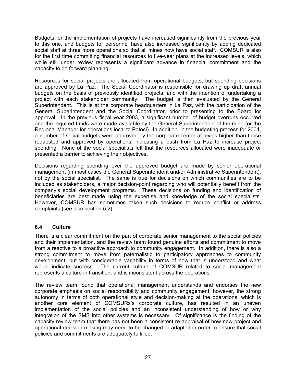Budgets for the implementation of projects have increased significantly from the previous year to this one, and budgets for personnel have also increased significantly by adding dedicated social staff at three more operations so that all mines now have social staff. COMSUR is also for the first time committing financial resources to five-year plans at the increased levels, which while still under review represents a significant advance in financial commitment and the capacity to do forward planning.

Resources for social projects are allocated from operational budgets, but spending decisions are approved by La Paz. The Social Coordinator is responsible for drawing up draft annual budgets on the basis of previously identified projects, and with the intention of undertaking a project with each stakeholder community. The budget is then evaluated by the General Superintendent. This is at the corporate headquarters in La Paz, with the participation of the General Superintendent and the Social Coordinator, prior to presenting to the Board for approval. In the previous fiscal year 2003, a significant number of budget overruns occurred and the required funds were made available by the General Superintendent of the mine (or the Regional Manager for operations local to Potosi). In addition, in the budgeting process for 2004, a number of social budgets were approved by the corporate center at levels higher than those requested and approved by operations, indicating a push from La Paz to increase project spending. None of the social specialists felt that the resources allocated were inadequate or presented a barrier to achieving their objectives.

Decisions regarding spending over the approved budget are made by senior operational management (in most cases the General Superintendent and/or Administrative Superintendent), not by the social specialist. The same is true for decisions on which communities are to be included as stakeholders, a major decision-point regarding who will potentially benefit from the company's social development programs. These decisions on funding and identification of beneficiaries are best made using the expertise and knowledge of the social specialists. However, COMSUR has sometimes taken such decisions to reduce conflict or address complaints (see also section 5.2).

## **6.4 Culture**

There is a clear commitment on the part of corporate senior management to the social policies and their implementation, and the review team found genuine efforts and commitment to move from a reactive to a proactive approach to community engagement. In addition, there is also a strong commitment to move from paternalistic to participatory approaches to community development, but with considerable variability in terms of how that is understood and what would indicate success. The current culture of COMSUR related to social management represents a culture in transition, and is inconsistent across the operations.

The review team found that operational management understands and endorses the new corporate emphasis on social responsibility and community engagement; however, the strong autonomy in terms of both operational style and decision-making at the operations, which is another core element of COMSURs's corporate culture, has resulted in an uneven implementation of the social policies and an inconsistent understanding of how or why integration of the SMS into other systems is necessary. Of significance is the finding of the capacity review team that there has not been a consistent re-appraisal of how new project and operational decision-making may need to be changed or adapted in order to ensure that social policies and commitments are adequately fulfilled.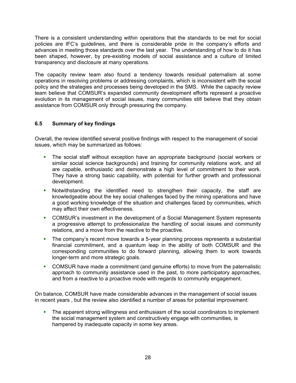There is a consistent understanding within operations that the standards to be met for social policies are IFC's guidelines, and there is considerable pride in the company's efforts and advances in meeting those standards over the last year. The understanding of how to do it has been shaped, however, by pre-existing models of social assistance and a culture of limited transparency and disclosure at many operations.

The capacity review team also found a tendency towards residual paternalism at some operations in resolving problems or addressing complaints, which is inconsistent with the social policy and the strategies and processes being developed in the SMS. While the capacity review team believe that COMSUR's expanded community development efforts represent a proactive evolution in its management of social issues, many communities still believe that they obtain assistance from COMSUR only through pressuring the company.

### **6.5 Summary of key findings**

Overall, the review identified several positive findings with respect to the management of social issues, which may be summarized as follows:

- The social staff without exception have an appropriate background (social workers or similar social science backgrounds) and training for community relations work, and all are capable, enthusiastic and demonstrate a high level of commitment to their work. They have a strong basic capability, with potential for further growth and professional development. a.
- a. Notwithstanding the identified need to strengthen their capacity, the staff are knowledgeable about the key social challenges faced by the mining operations and have a good working knowledge of the situation and challenges faced by communities, which may affect their own effectiveness.
- COMSUR's investment in the development of a Social Management System represents a progressive attempt to professionalize the handling of social issues and community relations, and a move from the reactive to the proactive.
- a. The company's recent move towards a 5-year planning process represents a substantial financial commitment, and a quantum leap in the ability of both COMSUR and the corresponding communities to do forward planning, allowing them to work towards longer-term and more strategic goals.
- COMSUR have made a commitment (and genuine efforts) to move from the paternalistic approach to community assistance used in the past, to more participatory approaches, and from a reactive to a proactive mode with regards to community engagement.

On balance, COMSUR have made considerable advances in the management of social issues in recent years , but the review also identified a number of areas for potential improvement:

a. The apparent strong willingness and enthusiasm of the social coordinators to implement the social management system and constructively engage with communities, is hampered by inadequate capacity in some key areas.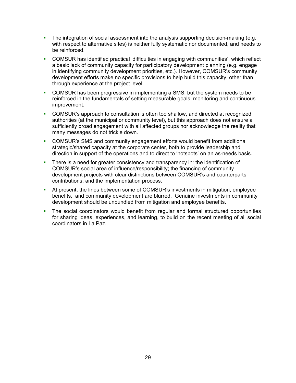- The integration of social assessment into the analysis supporting decision-making (e.g. with respect to alternative sites) is neither fully systematic nor documented, and needs to be reinforced.  $\mathbf{E}^{(1)}$
- COMSUR has identified practical 'difficulties in engaging with communities', which reflect a basic lack of community capacity for participatory development planning (e.g. engage in identifying community development priorities, etc.). However, COMSUR's community development efforts make no specific provisions to help build this capacity, other than through experience at the project level.
- a. COMSUR has been progressive in implementing a SMS, but the system needs to be reinforced in the fundamentals of setting measurable goals, monitoring and continuous improvement.
- **COMSUR's approach to consultation is often too shallow, and directed at recognized** authorities (at the municipal or community level), but this approach does not ensure a sufficiently broad engagement with all affected groups nor acknowledge the reality that many messages do not trickle down.
- a. COMSUR's SMS and community engagement efforts would benefit from additional strategic/shared capacity at the corporate center, both to provide leadership and direction in support of the operations and to direct to 'hotspots' on an as-needs basis.
- $\blacksquare$ There is a need for greater consistency and transparency in: the identification of COMSUR's social area of influence/responsibility; the financing of community development projects with clear distinctions between COMSUR's and counterparts contributions; and the implementation process.
- $\mathbf{r}$ At present, the lines between some of COMSUR's investments in mitigation, employee benefits, and community development are blurred. Genuine investments in community development should be unbundled from mitigation and employee benefits.
- $\blacksquare$ The social coordinators would benefit from regular and formal structured opportunities for sharing ideas, experiences, and learning, to build on the recent meeting of all social coordinators in La Paz.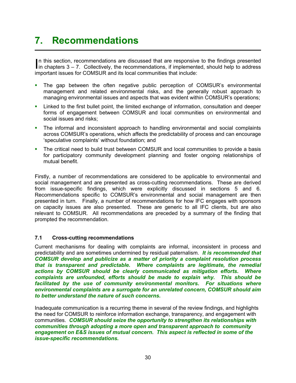## **7. Recommendations**

In this section, recommendations are discussed that are responsive to the findings presented<br>in chapters 3 – 7. Collectively, the recommendations, if implemented, should help to address n this section, recommendations are discussed that are responsive to the findings presented important issues for COMSUR and its local communities that include:

- The gap between the often negative public perception of COMSUR's environmental management and related environmental risks, and the generally robust approach to managing environmental issues and aspects that was evident within COMSUR's operations; a i
- a. Linked to the first bullet point, the limited exchange of information, consultation and deeper forms of engagement between COMSUR and local communities on environmental and social issues and risks;
- a, The informal and inconsistent approach to handling environmental and social complaints across COMSUR's operations, which affects the predictability of process and can encourage 'speculative complaints' without foundation; and
- a. The critical need to build trust between COMSUR and local communities to provide a basis for participatory community development planning and foster ongoing relationships of mutual benefit.

Firstly, a number of recommendations are considered to be applicable to environmental and social management and are presented as cross-cutting recommendations. These are derived from issue-specific findings, which were explicitly discussed in sections 5 and 6. Recommendations specific to COMSUR's environmental and social management are then presented in turn. Finally, a number of recommendations for how IFC engages with sponsors on capacity issues are also presented. These are generic to all IFC clients, but are also relevant to COMSUR. All recommendations are preceded by a summary of the finding that prompted the recommendation.

#### **7.1 Cross-cutting recommendations**

Current mechanisms for dealing with complaints are informal, inconsistent in process and predictability and are sometimes undermined by residual paternalism. *It is recommended that COMSUR develop and publicize as a matter of priority a complaint resolution process that is transparent and predictable. Where complaints are legitimate, the remedial actions by COMSUR should be clearly communicated as mitigation efforts. Where complaints are unfounded, efforts should be made to explain why. This should be facilitated by the use of community environmental monitors. For situations where environmental complaints are a surrogate for an unrelated concern, COMSUR should aim to better understand the nature of such concerns.*

Inadequate communication is a recurring theme in several of the review findings, and highlights the need for COMSUR to reinforce information exchange, transparency, and engagement with communities. *COMSUR should seize the opportunity to strengthen its relationships with communities through adopting a more open and transparent approach to community engagement on E&S issues of mutual concern. This aspect is reflected in some of the issue-specific recommendations.*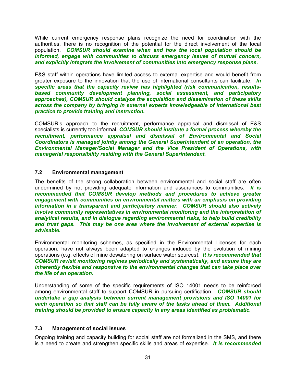While current emergency response plans recognize the need for coordination with the authorities, there is no recognition of the potential for the direct involvement of the local population. *COMSUR should examine when and how the local population should be informed, engage with communities to discuss emergency issues of mutual concern, and explicitly integrate the involvement of communities into emergency response plans.* 

E&S staff within operations have limited access to external expertise and would benefit from greater exposure to the innovation that the use of international consultants can facilitate. *In specific areas that the capacity review has highlighted (risk communication, resultsbased community development planning, social assessment, and participatory approaches), COMSUR should catalyze the acquisition and dissemination of these skills across the company by bringing in external experts knowledgeable of international best practice to provide training and instruction.*

COMSUR's approach to the recruitment, performance appraisal and dismissal of E&S specialists is currently too informal. *COMSUR should institute a formal process whereby the recruitment, performance appraisal and dismissal of Environmental and Social Coordinators is managed jointly among the General Superintendent of an operation, the Environmental Manager/Social Manager and the Vice President of Operations, with managerial responsibility residing with the General Superintendent.*

### **7.2 Environmental management**

The benefits of the strong collaboration between environmental and social staff are often undermined by not providing adequate information and assurances to communities. *It is recommended that COMSUR develop methods and procedures to achieve greater engagement with communities on environmental matters with an emphasis on providing information in a transparent and participatory manner. COMSUR should also actively involve community representatives in environmental monitoring and the interpretation of analytical results, and in dialogue regarding environmental risks, to help build credibility and trust gaps. This may be one area where the involvement of external expertise is advisable.*

Environmental monitoring schemes, as specified in the Environmental Licenses for each operation, have not always been adapted to changes induced by the evolution of mining operations (e.g. effects of mine dewatering on surface water sources). *It is recommended that COMSUR revisit monitoring regimes periodically and systematically, and ensure they are inherently flexible and responsive to the environmental changes that can take place over the life of an operation.*

Understanding of some of the specific requirements of ISO 14001 needs to be reinforced among environmental staff to support COMSUR in pursuing certification. *COMSUR should undertake a gap analysis between current management provisions and ISO 14001 for*  each operation so that staff can be fully aware of the tasks ahead of them. Additional *training should be provided to ensure capacity in any areas identified as problematic.* 

#### **7.3 Management of social issues**

Ongoing training and capacity building for social staff are not formalized in the SMS, and there is a need to create and strengthen specific skills and areas of expertise. *It is recommended*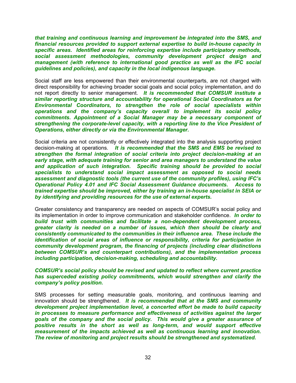*that training and continuous learning and improvement be integrated into the SMS, and financial resources provided to support external expertise to build in-house capacity in specific areas. Identified areas for reinforcing expertise include participatory methods, social assessment methodologies, community development project design and management (with reference to international good practice as well as the IFC social guidelines and policies), and capacity in the local indigenous language.*

Social staff are less empowered than their environmental counterparts, are not charged with direct responsibility for achieving broader social goals and social policy implementation, and do not report directly to senior management. *It is recommended that COMSUR institute a similar reporting structure and accountability for operational Social Coordinators as for Environmental Coordinators, to strengthen the role of social specialists within operations and the company's capacity overall to implement its social policy commitments. Appointment of a Social Manager may be a necessary component of strengthening the corporate-level capacity, with a reporting line to the Vice President of Operations, either directly or via the Environmental Manager.* 

Social criteria are not consistently or effectively integrated into the analysis supporting project decision-making at operations. *It is recommended that the SMS and EMS be revised to strengthen the formal integration of social criteria into project decision-making at an early stage, with adequate training for senior and area managers to understand the value and application of such integration. Specific training should be provided to social specialists to understand social impact assessment as opposed to social needs assessment and diagnostic tools (the current use of the community profiles), using IFC's Operational Policy 4.01 and IFC Social Assessment Guidance documents. Access to trained expertise should be improved, either by training an in-house specialist in SEIA or by identifying and providing resources for the use of external experts.*

Greater consistency and transparency are needed on aspects of COMSUR's social policy and its implementation in order to improve communication and stakeholder confidence. *In order to build trust with communities and facilitate a non-dependent development process, greater clarity is needed on a number of issues, which then should be clearly and consistently communicated to the communities in their influence area. These include the identification of social areas of influence or responsibility, criteria for participation in community development program, the financing of projects (including clear distinctions between COMSUR's and counterpart contributions), and the implementation process including participation, decision-making, scheduling and accountability.*

*COMSUR's social policy should be revised and updated to reflect where current practice has superceded existing policy commitments, which would strengthen and clarify the company's policy position.*

SMS processes for setting measurable goals, monitoring, and continuous learning and innovation should be strengthened. *It is recommended that at the SMS and community development project implementation level, a concerted effort be made to build capacity in processes to measure performance and effectiveness of activities against the larger goals of the company and the social policy. This would give a greater assurance of positive results in the short as well as long-term, and would support effective measurement of the impacts achieved as well as continuous learning and innovation. The review of monitoring and project results should be strengthened and systematized.*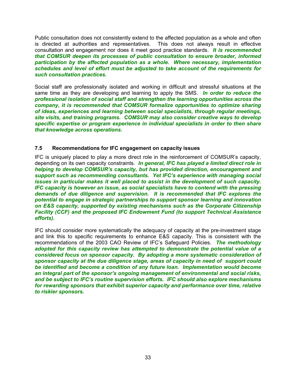Public consultation does not consistently extend to the affected population as a whole and often is directed at authorities and representatives. This does not always result in effective consultation and engagement nor does it meet good practice standards. *It is recommended that COMSUR deepen its processes of public consultation to ensure broader, informed participation by the affected population as a whole. Where necessary, implementation schedules and level of effort must be adjusted to take account of the requirements for such consultation practices.* 

Social staff are professionally isolated and working in difficult and stressful situations at the same time as they are developing and learning to apply the SMS.*In order to reduce the professional isolation of social staff and strengthen the learning opportunities across the company, it is recommended that COMSUR formalize opportunities to optimize sharing of ideas, experiences and learning between social specialists, through regular meetings, site visits, and training programs. COMSUR may also consider creative ways to develop specific expertise or program experience in individual specialists in order to then share that knowledge across operations.*

#### **7.5 Recommendations for IFC engagement on capacity issues**

IFC is uniquely placed to play a more direct role in the reinforcement of COMSUR's capacity, depending on its own capacity constraints. *In general, IFC has played a limited direct role in helping to develop COMSUR's capacity, but has provided direction, encouragement and support such as recommending consultants. Yet IFC's experience with managing social issues in particular makes it well placed to assist in the development of such capacity. IFC capacity is however an issue, as social specialists have to contend with the pressing demands of due diligence and supervision. It is recommended that IFC explores the potential to engage in strategic partnerships to support sponsor learning and innovation on E&S capacity, supported by existing mechanisms such as the Corporate Citizenship Facility (CCF) and the proposed IFC Endowment Fund (to support Technical Assistance efforts).*

IFC should consider more systematically the adequacy of capacity at the pre-investment stage and link this to specific requirements to enhance E&S capacity. This is consistent with the recommendations of the 2003 CAO Review of IFC's Safeguard Policies. *The methodology adopted for this capacity review has attempted to demonstrate the potential value of a considered focus on sponsor capacity. By adopting a more systematic consideration of sponsor capacity at the due diligence stage, areas of capacity in need of support could be identified and become a condition of any future loan. Implementation would become an integral part of the sponsor's ongoing management of environmental and social risks, and be subject to IFC's routine supervision efforts. IFC should also explore mechanisms for rewarding sponsors that exhibit superior capacity and performance over time, relative to riskier sponsors.*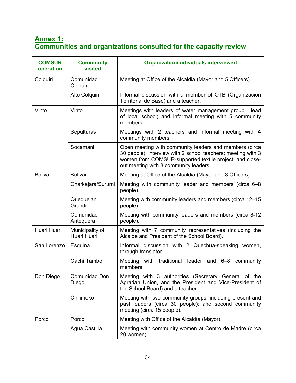## **Annex 1: Communities and organizations consulted for the capacity review**

| <b>COMSUR</b><br>operation | <b>Community</b><br>visited    | <b>Organization/individuals interviewed</b>                                                                                                                                                                                |
|----------------------------|--------------------------------|----------------------------------------------------------------------------------------------------------------------------------------------------------------------------------------------------------------------------|
| Colquiri                   | Comunidad<br>Colquiri          | Meeting at Office of the Alcaldia (Mayor and 5 Officers).                                                                                                                                                                  |
|                            | Alto Colquiri                  | Informal discussion with a member of OTB (Organizacion<br>Territorial de Base) and a teacher.                                                                                                                              |
| Vinto                      | Vinto                          | Meetings with leaders of water management group; Head<br>of local school; and informal meeting with 5 community<br>members.                                                                                                |
|                            | Sepulturas                     | Meetings with 2 teachers and informal meeting with 4<br>community members.                                                                                                                                                 |
|                            | Socamani                       | Open meeting with community leaders and members (circa<br>30 people); interview with 2 school teachers; meeting with 3<br>women from COMSUR-supported textile project; and close-<br>out meeting with 8 community leaders. |
| <b>Bolivar</b>             | <b>Bolivar</b>                 | Meeting at Office of the Alcaldia (Mayor and 3 Officers).                                                                                                                                                                  |
|                            | Charkajara/Surumi              | Meeting with community leader and members (circa 6–8<br>people).                                                                                                                                                           |
|                            | Quequejani<br>Grande           | Meeting with community leaders and members (circa 12–15<br>people).                                                                                                                                                        |
|                            | Comunidad<br>Antequera         | Meeting with community leaders and members (circa 8-12<br>people).                                                                                                                                                         |
| Huari Huari                | Municipality of<br>Huari Huari | Meeting with 7 community representatives (including the<br>Alcalde and President of the School Board).                                                                                                                     |
| San Lorenzo                | Esquina                        | Informal discussion with 2 Quechua-speaking women,<br>through translator.                                                                                                                                                  |
|                            | Cachi Tambo                    | Meeting with traditional leader and 6-8 community<br>members.                                                                                                                                                              |
| Don Diego                  | Comunidad Don<br>Diego         | Meeting with 3 authorities (Secretary General of the<br>Agrarian Union, and the President and Vice-President of<br>the School Board) and a teacher.                                                                        |
|                            | Chilimoko                      | Meeting with two community groups, including present and<br>past leaders (circa 30 people); and second community<br>meeting (circa 15 people).                                                                             |
| Porco                      | Porco                          | Meeting with Office of the Alcaldía (Mayor).                                                                                                                                                                               |
|                            | Agua Castilla                  | Meeting with community women at Centro de Madre (circa<br>20 women).                                                                                                                                                       |